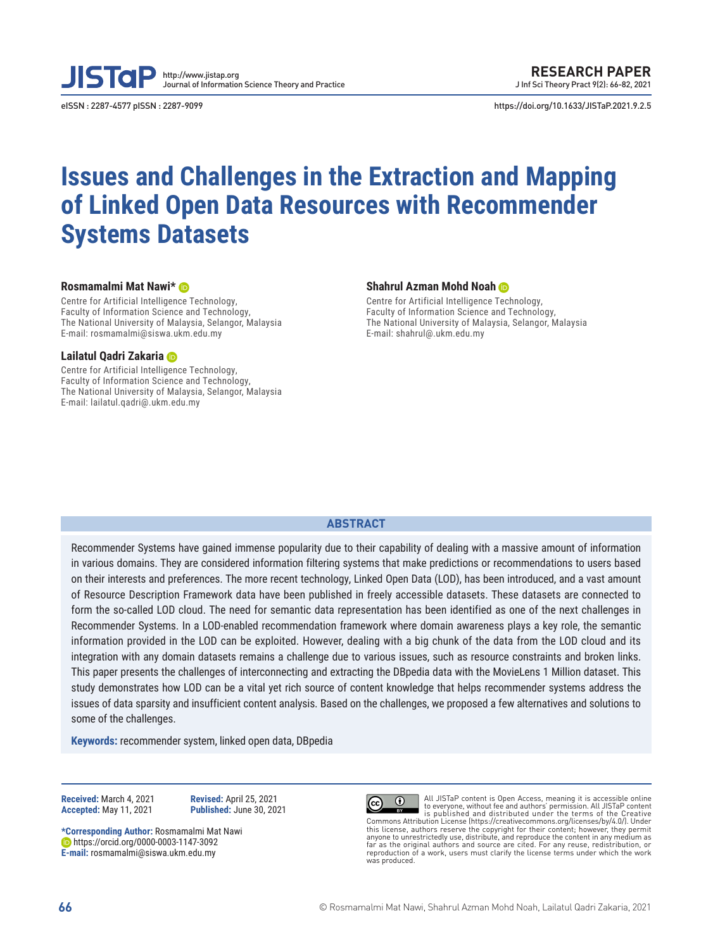**JISTal** http://www.jistap.org Journal of Information Science Theory and Practice

eISSN : 2287-4577 pISSN : 2287-9099 https://doi.org/10.1633/JISTaP.2021.9.2.5

# **Issues and Challenges in the Extraction and Mapping of Linked Open Data Resources with Recommender Systems Datasets**

#### **Rosmamalmi Mat Nawi\***

Centre for Artificial Intelligence Technology, Faculty of Information Science and Technology, The National University of Malaysia, Selangor, Malaysia E-mail: rosmamalmi@siswa.ukm.edu.my

#### **Lailatul Qadri Zakaria**

Centre for Artificial Intelligence Technology, Faculty of Information Science and Technology, The National University of Malaysia, Selangor, Malaysia E-mail: lailatul.qadri@.ukm.edu.my

#### **Shahrul Azman Mohd Noah**

Centre for Artificial Intelligence Technology, Faculty of Information Science and Technology, The National University of Malaysia, Selangor, Malaysia E-mail: shahrul@.ukm.edu.my

#### **ABSTRACT**

Recommender Systems have gained immense popularity due to their capability of dealing with a massive amount of information in various domains. They are considered information filtering systems that make predictions or recommendations to users based on their interests and preferences. The more recent technology, Linked Open Data (LOD), has been introduced, and a vast amount of Resource Description Framework data have been published in freely accessible datasets. These datasets are connected to form the so-called LOD cloud. The need for semantic data representation has been identified as one of the next challenges in Recommender Systems. In a LOD-enabled recommendation framework where domain awareness plays a key role, the semantic information provided in the LOD can be exploited. However, dealing with a big chunk of the data from the LOD cloud and its integration with any domain datasets remains a challenge due to various issues, such as resource constraints and broken links. This paper presents the challenges of interconnecting and extracting the DBpedia data with the MovieLens 1 Million dataset. This study demonstrates how LOD can be a vital yet rich source of content knowledge that helps recommender systems address the issues of data sparsity and insufficient content analysis. Based on the challenges, we proposed a few alternatives and solutions to some of the challenges.

**Keywords:** recommender system, linked open data, DBpedia

**Received:** March 4, 2021 **Revised:** April 25, 2021

**Accepted:** May 11, 2021 **Published:** June 30, 2021

**\*Corresponding Author:** Rosmamalmi Mat Nawi https://orcid.org/0000-0003-1147-3092 **E-mail:** rosmamalmi@siswa.ukm.edu.my



All JISTaP content is Open Access, meaning it is accessible online to everyone, without fee and authors' permission. All JISTaP content is published and distributed under the terms of the Creative  $\odot$ Commons Attribution License (https://creativecommons.org/licenses/by/4.0/). Under this license, authors reserve the copyright for their content; however, they permit<br>anyone to unrestrictedly use, distribute, and reproduce the content in any medium as<br>far as the original authors and source are cited. For reproduction of a work, users must clarify the license terms under which the work was produced.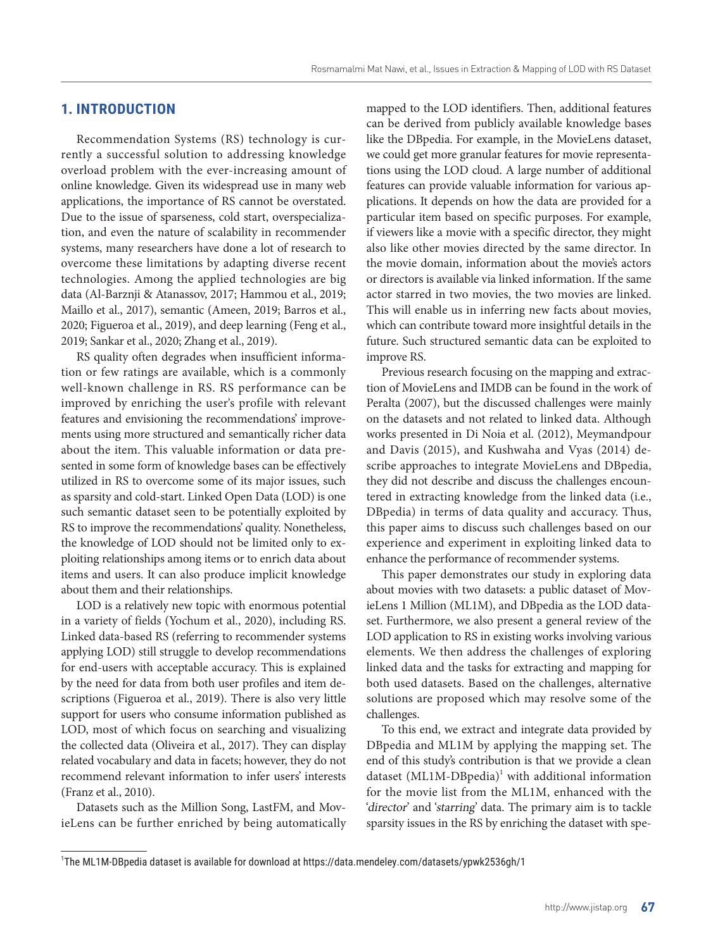# **1. INTRODUCTION**

Recommendation Systems (RS) technology is currently a successful solution to addressing knowledge overload problem with the ever-increasing amount of online knowledge. Given its widespread use in many web applications, the importance of RS cannot be overstated. Due to the issue of sparseness, cold start, overspecialization, and even the nature of scalability in recommender systems, many researchers have done a lot of research to overcome these limitations by adapting diverse recent technologies. Among the applied technologies are big data (Al-Barznji & Atanassov, 2017; Hammou et al., 2019; Maillo et al., 2017), semantic (Ameen, 2019; Barros et al., 2020; Figueroa et al., 2019), and deep learning (Feng et al., 2019; Sankar et al., 2020; Zhang et al., 2019).

RS quality often degrades when insufficient information or few ratings are available, which is a commonly well-known challenge in RS. RS performance can be improved by enriching the user's profile with relevant features and envisioning the recommendations' improvements using more structured and semantically richer data about the item. This valuable information or data presented in some form of knowledge bases can be effectively utilized in RS to overcome some of its major issues, such as sparsity and cold-start. Linked Open Data (LOD) is one such semantic dataset seen to be potentially exploited by RS to improve the recommendations' quality. Nonetheless, the knowledge of LOD should not be limited only to exploiting relationships among items or to enrich data about items and users. It can also produce implicit knowledge about them and their relationships.

LOD is a relatively new topic with enormous potential in a variety of fields (Yochum et al., 2020), including RS. Linked data-based RS (referring to recommender systems applying LOD) still struggle to develop recommendations for end-users with acceptable accuracy. This is explained by the need for data from both user profiles and item descriptions (Figueroa et al., 2019). There is also very little support for users who consume information published as LOD, most of which focus on searching and visualizing the collected data (Oliveira et al., 2017). They can display related vocabulary and data in facets; however, they do not recommend relevant information to infer users' interests (Franz et al., 2010).

Datasets such as the Million Song, LastFM, and MovieLens can be further enriched by being automatically mapped to the LOD identifiers. Then, additional features can be derived from publicly available knowledge bases like the DBpedia. For example, in the MovieLens dataset, we could get more granular features for movie representations using the LOD cloud. A large number of additional features can provide valuable information for various applications. It depends on how the data are provided for a particular item based on specific purposes. For example, if viewers like a movie with a specific director, they might also like other movies directed by the same director. In the movie domain, information about the movie's actors or directors is available via linked information. If the same actor starred in two movies, the two movies are linked. This will enable us in inferring new facts about movies, which can contribute toward more insightful details in the future. Such structured semantic data can be exploited to improve RS.

Previous research focusing on the mapping and extraction of MovieLens and IMDB can be found in the work of Peralta (2007), but the discussed challenges were mainly on the datasets and not related to linked data. Although works presented in Di Noia et al. (2012), Meymandpour and Davis (2015), and Kushwaha and Vyas (2014) describe approaches to integrate MovieLens and DBpedia, they did not describe and discuss the challenges encountered in extracting knowledge from the linked data (i.e., DBpedia) in terms of data quality and accuracy. Thus, this paper aims to discuss such challenges based on our experience and experiment in exploiting linked data to enhance the performance of recommender systems.

This paper demonstrates our study in exploring data about movies with two datasets: a public dataset of MovieLens 1 Million (ML1M), and DBpedia as the LOD dataset. Furthermore, we also present a general review of the LOD application to RS in existing works involving various elements. We then address the challenges of exploring linked data and the tasks for extracting and mapping for both used datasets. Based on the challenges, alternative solutions are proposed which may resolve some of the challenges.

To this end, we extract and integrate data provided by DBpedia and ML1M by applying the mapping set. The end of this study's contribution is that we provide a clean dataset  $(ML1M\text{-}DBpedia)^1$  with additional information for the movie list from the ML1M, enhanced with the 'director' and 'starring' data. The primary aim is to tackle sparsity issues in the RS by enriching the dataset with spe-

<sup>1</sup> The ML1M-DBpedia dataset is available for download at https://data.mendeley.com/datasets/ypwk2536gh/1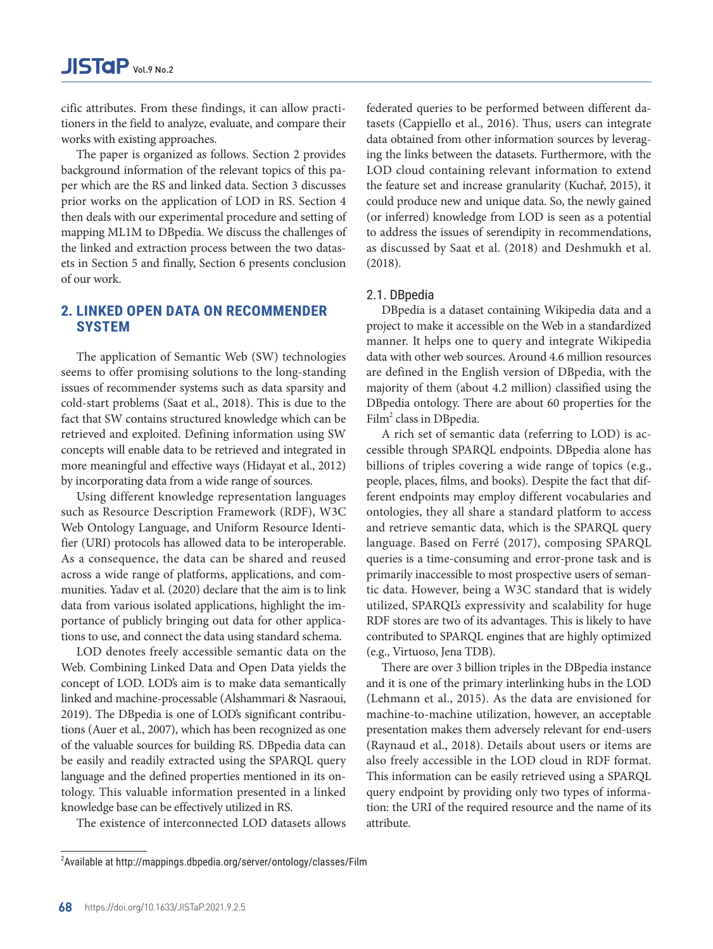cific attributes. From these findings, it can allow practitioners in the field to analyze, evaluate, and compare their works with existing approaches.

The paper is organized as follows. Section 2 provides background information of the relevant topics of this paper which are the RS and linked data. Section 3 discusses prior works on the application of LOD in RS. Section 4 then deals with our experimental procedure and setting of mapping ML1M to DBpedia. We discuss the challenges of the linked and extraction process between the two datasets in Section 5 and finally, Section 6 presents conclusion of our work.

# **2. LINKED OPEN DATA ON RECOMMENDER SYSTEM**

The application of Semantic Web (SW) technologies seems to offer promising solutions to the long-standing issues of recommender systems such as data sparsity and cold-start problems (Saat et al., 2018). This is due to the fact that SW contains structured knowledge which can be retrieved and exploited. Defining information using SW concepts will enable data to be retrieved and integrated in more meaningful and effective ways (Hidayat et al., 2012) by incorporating data from a wide range of sources.

Using different knowledge representation languages such as Resource Description Framework (RDF), W3C Web Ontology Language, and Uniform Resource Identifier (URI) protocols has allowed data to be interoperable. As a consequence, the data can be shared and reused across a wide range of platforms, applications, and communities. Yadav et al. (2020) declare that the aim is to link data from various isolated applications, highlight the importance of publicly bringing out data for other applications to use, and connect the data using standard schema.

LOD denotes freely accessible semantic data on the Web. Combining Linked Data and Open Data yields the concept of LOD. LOD's aim is to make data semantically linked and machine-processable (Alshammari & Nasraoui, 2019). The DBpedia is one of LOD's significant contributions (Auer et al., 2007), which has been recognized as one of the valuable sources for building RS. DBpedia data can be easily and readily extracted using the SPARQL query language and the defined properties mentioned in its ontology. This valuable information presented in a linked knowledge base can be effectively utilized in RS.

The existence of interconnected LOD datasets allows

federated queries to be performed between different datasets (Cappiello et al., 2016). Thus, users can integrate data obtained from other information sources by leveraging the links between the datasets. Furthermore, with the LOD cloud containing relevant information to extend the feature set and increase granularity (Kuchař, 2015), it could produce new and unique data. So, the newly gained (or inferred) knowledge from LOD is seen as a potential to address the issues of serendipity in recommendations, as discussed by Saat et al. (2018) and Deshmukh et al. (2018).

#### 2.1. DBpedia

DBpedia is a dataset containing Wikipedia data and a project to make it accessible on the Web in a standardized manner. It helps one to query and integrate Wikipedia data with other web sources. Around 4.6 million resources are defined in the English version of DBpedia, with the majority of them (about 4.2 million) classified using the DBpedia ontology. There are about 60 properties for the Film<sup>2</sup> class in DBpedia.

A rich set of semantic data (referring to LOD) is accessible through SPARQL endpoints. DBpedia alone has billions of triples covering a wide range of topics (e.g., people, places, films, and books). Despite the fact that different endpoints may employ different vocabularies and ontologies, they all share a standard platform to access and retrieve semantic data, which is the SPARQL query language. Based on Ferré (2017), composing SPARQL queries is a time-consuming and error-prone task and is primarily inaccessible to most prospective users of semantic data. However, being a W3C standard that is widely utilized, SPARQL's expressivity and scalability for huge RDF stores are two of its advantages. This is likely to have contributed to SPARQL engines that are highly optimized (e.g., Virtuoso, Jena TDB).

There are over 3 billion triples in the DBpedia instance and it is one of the primary interlinking hubs in the LOD (Lehmann et al., 2015). As the data are envisioned for machine-to-machine utilization, however, an acceptable presentation makes them adversely relevant for end-users (Raynaud et al., 2018). Details about users or items are also freely accessible in the LOD cloud in RDF format. This information can be easily retrieved using a SPARQL query endpoint by providing only two types of information: the URI of the required resource and the name of its attribute.

 $^{2}$ Available at http://mappings.dbpedia.org/server/ontology/classes/Film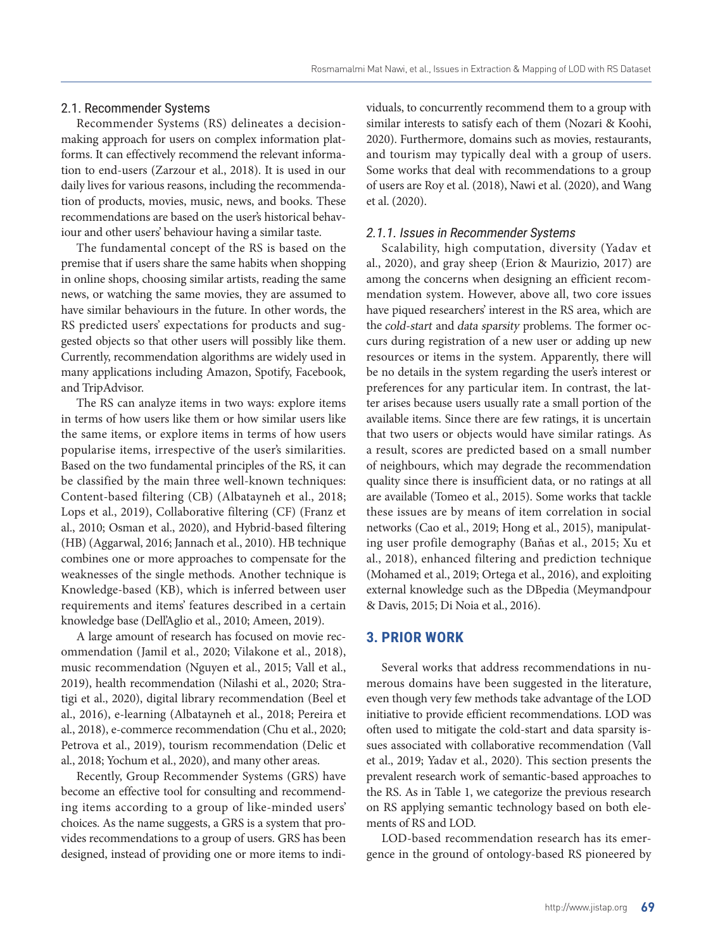#### 2.1. Recommender Systems

Recommender Systems (RS) delineates a decisionmaking approach for users on complex information platforms. It can effectively recommend the relevant information to end-users (Zarzour et al., 2018). It is used in our daily lives for various reasons, including the recommendation of products, movies, music, news, and books. These recommendations are based on the user's historical behaviour and other users' behaviour having a similar taste.

The fundamental concept of the RS is based on the premise that if users share the same habits when shopping in online shops, choosing similar artists, reading the same news, or watching the same movies, they are assumed to have similar behaviours in the future. In other words, the RS predicted users' expectations for products and suggested objects so that other users will possibly like them. Currently, recommendation algorithms are widely used in many applications including Amazon, Spotify, Facebook, and TripAdvisor.

The RS can analyze items in two ways: explore items in terms of how users like them or how similar users like the same items, or explore items in terms of how users popularise items, irrespective of the user's similarities. Based on the two fundamental principles of the RS, it can be classified by the main three well-known techniques: Content-based filtering (CB) (Albatayneh et al., 2018; Lops et al., 2019), Collaborative filtering (CF) (Franz et al., 2010; Osman et al., 2020), and Hybrid-based filtering (HB) (Aggarwal, 2016; Jannach et al., 2010). HB technique combines one or more approaches to compensate for the weaknesses of the single methods. Another technique is Knowledge-based (KB), which is inferred between user requirements and items' features described in a certain knowledge base (Dell'Aglio et al., 2010; Ameen, 2019).

A large amount of research has focused on movie recommendation (Jamil et al., 2020; Vilakone et al., 2018), music recommendation (Nguyen et al., 2015; Vall et al., 2019), health recommendation (Nilashi et al., 2020; Stratigi et al., 2020), digital library recommendation (Beel et al., 2016), e-learning (Albatayneh et al., 2018; Pereira et al., 2018), e-commerce recommendation (Chu et al., 2020; Petrova et al., 2019), tourism recommendation (Delic et al., 2018; Yochum et al., 2020), and many other areas.

Recently, Group Recommender Systems (GRS) have become an effective tool for consulting and recommending items according to a group of like-minded users' choices. As the name suggests, a GRS is a system that provides recommendations to a group of users. GRS has been designed, instead of providing one or more items to individuals, to concurrently recommend them to a group with similar interests to satisfy each of them (Nozari & Koohi, 2020). Furthermore, domains such as movies, restaurants, and tourism may typically deal with a group of users. Some works that deal with recommendations to a group of users are Roy et al. (2018), Nawi et al. (2020), and Wang et al. (2020).

#### 2.1.1. Issues in Recommender Systems

Scalability, high computation, diversity (Yadav et al., 2020), and gray sheep (Erion & Maurizio, 2017) are among the concerns when designing an efficient recommendation system. However, above all, two core issues have piqued researchers' interest in the RS area, which are the cold-start and data sparsity problems. The former occurs during registration of a new user or adding up new resources or items in the system. Apparently, there will be no details in the system regarding the user's interest or preferences for any particular item. In contrast, the latter arises because users usually rate a small portion of the available items. Since there are few ratings, it is uncertain that two users or objects would have similar ratings. As a result, scores are predicted based on a small number of neighbours, which may degrade the recommendation quality since there is insufficient data, or no ratings at all are available (Tomeo et al., 2015). Some works that tackle these issues are by means of item correlation in social networks (Cao et al., 2019; Hong et al., 2015), manipulating user profile demography (Baňas et al., 2015; Xu et al., 2018), enhanced filtering and prediction technique (Mohamed et al., 2019; Ortega et al., 2016), and exploiting external knowledge such as the DBpedia (Meymandpour & Davis, 2015; Di Noia et al., 2016).

## **3. PRIOR WORK**

Several works that address recommendations in numerous domains have been suggested in the literature, even though very few methods take advantage of the LOD initiative to provide efficient recommendations. LOD was often used to mitigate the cold-start and data sparsity issues associated with collaborative recommendation (Vall et al., 2019; Yadav et al., 2020). This section presents the prevalent research work of semantic-based approaches to the RS. As in Table 1, we categorize the previous research on RS applying semantic technology based on both elements of RS and LOD.

LOD-based recommendation research has its emergence in the ground of ontology-based RS pioneered by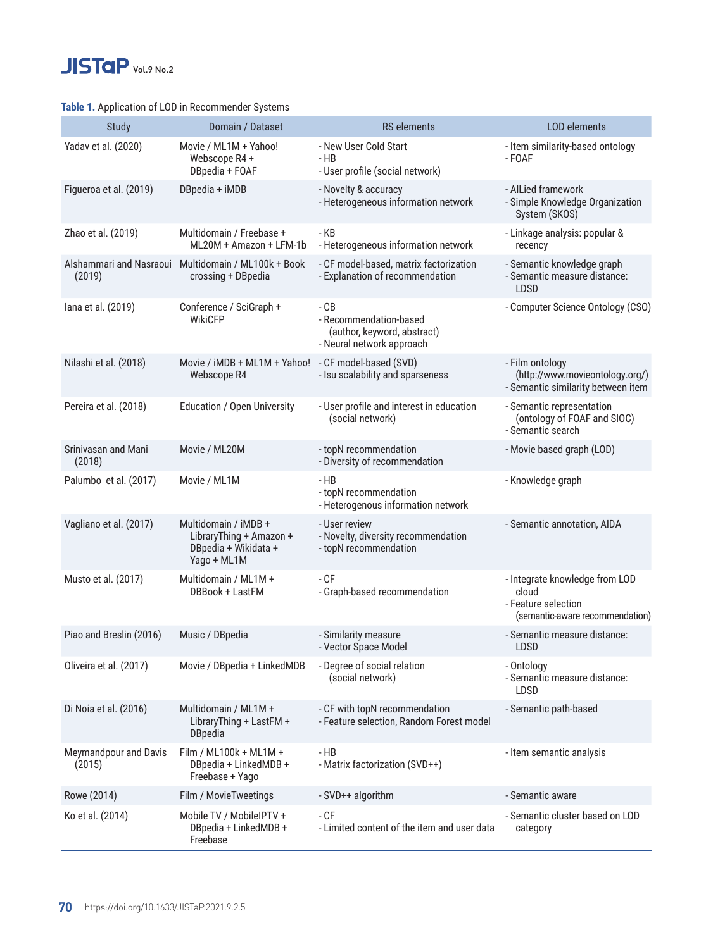## **Table 1.** Application of LOD in Recommender Systems

| <b>Study</b>                      | Domain / Dataset                                                                       | <b>RS</b> elements                                                                         | LOD elements                                                                                      |
|-----------------------------------|----------------------------------------------------------------------------------------|--------------------------------------------------------------------------------------------|---------------------------------------------------------------------------------------------------|
| Yadav et al. (2020)               | Movie / ML1M + Yahoo!<br>Webscope R4 +<br>DBpedia + FOAF                               | - New User Cold Start<br>- HB<br>- User profile (social network)                           | - Item similarity-based ontology<br>- FOAF                                                        |
| Figueroa et al. (2019)            | DBpedia + iMDB                                                                         | - Novelty & accuracy<br>- Heterogeneous information network                                | - AlLied framework<br>- Simple Knowledge Organization<br>System (SKOS)                            |
| Zhao et al. (2019)                | Multidomain / Freebase +<br>ML20M + Amazon + LFM-1b                                    | - KB<br>- Heterogeneous information network                                                | - Linkage analysis: popular &<br>recency                                                          |
| Alshammari and Nasraoui<br>(2019) | Multidomain / ML100k + Book<br>crossing + DBpedia                                      | - CF model-based, matrix factorization<br>- Explanation of recommendation                  | - Semantic knowledge graph<br>- Semantic measure distance:<br><b>LDSD</b>                         |
| lana et al. (2019)                | Conference / SciGraph +<br>WikiCFP                                                     | - CB<br>- Recommendation-based<br>(author, keyword, abstract)<br>- Neural network approach | - Computer Science Ontology (CSO)                                                                 |
| Nilashi et al. (2018)             | Movie / iMDB + ML1M + Yahoo! - CF model-based (SVD)<br>Webscope R4                     | - Isu scalability and sparseness                                                           | - Film ontology<br>(http://www.movieontology.org/)<br>- Semantic similarity between item          |
| Pereira et al. (2018)             | Education / Open University                                                            | - User profile and interest in education<br>(social network)                               | - Semantic representation<br>(ontology of FOAF and SIOC)<br>- Semantic search                     |
| Srinivasan and Mani<br>(2018)     | Movie / ML20M                                                                          | - topN recommendation<br>- Diversity of recommendation                                     | - Movie based graph (LOD)                                                                         |
| Palumbo et al. (2017)             | Movie / ML1M                                                                           | - HB<br>- topN recommendation<br>- Heterogenous information network                        | - Knowledge graph                                                                                 |
| Vagliano et al. (2017)            | Multidomain / iMDB +<br>LibraryThing + Amazon +<br>DBpedia + Wikidata +<br>Yago + ML1M | - User review<br>- Novelty, diversity recommendation<br>- topN recommendation              | - Semantic annotation, AIDA                                                                       |
| Musto et al. (2017)               | Multidomain / ML1M +<br>DBBook + LastFM                                                | - CF<br>- Graph-based recommendation                                                       | - Integrate knowledge from LOD<br>cloud<br>- Feature selection<br>(semantic-aware recommendation) |
| Piao and Breslin (2016)           | Music / DBpedia                                                                        | - Similarity measure<br>- Vector Space Model                                               | - Semantic measure distance:<br>LDSD                                                              |
| Oliveira et al. (2017)            | Movie / DBpedia + LinkedMDB                                                            | - Degree of social relation<br>(social network)                                            | - Ontology<br>- Semantic measure distance:<br><b>LDSD</b>                                         |
| Di Noia et al. (2016)             | Multidomain / ML1M +<br>LibraryThing + LastFM +<br><b>DBpedia</b>                      | - CF with topN recommendation<br>- Feature selection, Random Forest model                  | - Semantic path-based                                                                             |
| Meymandpour and Davis<br>(2015)   | Film / $ML100k + ML1M +$<br>DBpedia + LinkedMDB +<br>Freebase + Yago                   | $-HB$<br>- Matrix factorization (SVD++)                                                    | - Item semantic analysis                                                                          |
| Rowe (2014)                       | Film / MovieTweetings                                                                  | - SVD++ algorithm                                                                          | - Semantic aware                                                                                  |
| Ko et al. (2014)                  | Mobile TV / MobileIPTV +<br>DBpedia + LinkedMDB +<br>Freebase                          | $-CF$<br>- Limited content of the item and user data                                       | - Semantic cluster based on LOD<br>category                                                       |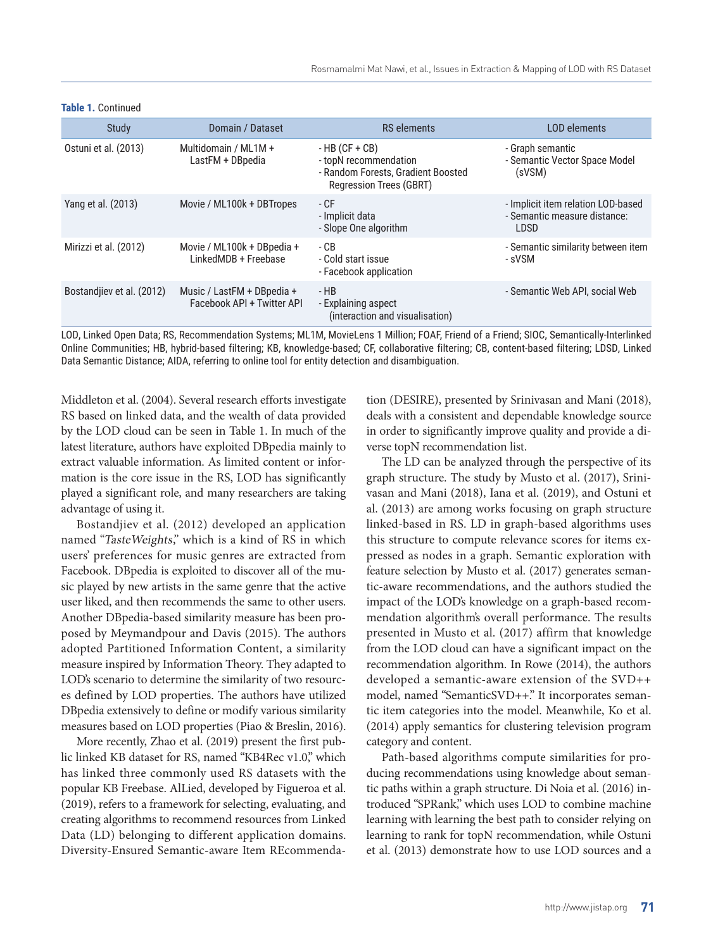| Study                     | Domain / Dataset                                         | <b>RS</b> elements                                                                                               | <b>LOD</b> elements                                                        |
|---------------------------|----------------------------------------------------------|------------------------------------------------------------------------------------------------------------------|----------------------------------------------------------------------------|
| Ostuni et al. (2013)      | Multidomain / ML1M +<br>LastFM + DBpedia                 | $-HB$ (CF + CB)<br>- topN recommendation<br>- Random Forests, Gradient Boosted<br><b>Regression Trees (GBRT)</b> | - Graph semantic<br>- Semantic Vector Space Model<br>(sVSM)                |
| Yang et al. (2013)        | Movie / ML100k + DBTropes                                | - CF<br>- Implicit data<br>- Slope One algorithm                                                                 | - Implicit item relation LOD-based<br>- Semantic measure distance:<br>LDSD |
| Mirizzi et al. (2012)     | Movie / ML100k + DBpedia +<br>LinkedMDB + Freebase       | - CB<br>- Cold start issue<br>- Facebook application                                                             | - Semantic similarity between item<br>- sVSM                               |
| Bostandjiev et al. (2012) | Music / LastFM + DBpedia +<br>Facebook API + Twitter API | - HB<br>- Explaining aspect<br>(interaction and visualisation)                                                   | - Semantic Web API, social Web                                             |
|                           |                                                          |                                                                                                                  |                                                                            |

#### **Table 1.** Continued

LOD, Linked Open Data; RS, Recommendation Systems; ML1M, MovieLens 1 Million; FOAF, Friend of a Friend; SIOC, Semantically-Interlinked Online Communities; HB, hybrid-based filtering; KB, knowledge-based; CF, collaborative filtering; CB, content-based filtering; LDSD, Linked Data Semantic Distance; AIDA, referring to online tool for entity detection and disambiguation.

Middleton et al. (2004). Several research efforts investigate RS based on linked data, and the wealth of data provided by the LOD cloud can be seen in Table 1. In much of the latest literature, authors have exploited DBpedia mainly to extract valuable information. As limited content or information is the core issue in the RS, LOD has significantly played a significant role, and many researchers are taking advantage of using it.

Bostandjiev et al. (2012) developed an application named "TasteWeights," which is a kind of RS in which users' preferences for music genres are extracted from Facebook. DBpedia is exploited to discover all of the music played by new artists in the same genre that the active user liked, and then recommends the same to other users. Another DBpedia-based similarity measure has been proposed by Meymandpour and Davis (2015). The authors adopted Partitioned Information Content, a similarity measure inspired by Information Theory. They adapted to LOD's scenario to determine the similarity of two resources defined by LOD properties. The authors have utilized DBpedia extensively to define or modify various similarity measures based on LOD properties (Piao & Breslin, 2016).

More recently, Zhao et al. (2019) present the first public linked KB dataset for RS, named "KB4Rec v1.0," which has linked three commonly used RS datasets with the popular KB Freebase. AlLied, developed by Figueroa et al. (2019), refers to a framework for selecting, evaluating, and creating algorithms to recommend resources from Linked Data (LD) belonging to different application domains. Diversity-Ensured Semantic-aware Item REcommenda-

tion (DESIRE), presented by Srinivasan and Mani (2018), deals with a consistent and dependable knowledge source in order to significantly improve quality and provide a diverse topN recommendation list.

The LD can be analyzed through the perspective of its graph structure. The study by Musto et al. (2017), Srinivasan and Mani (2018), Iana et al. (2019), and Ostuni et al. (2013) are among works focusing on graph structure linked-based in RS. LD in graph-based algorithms uses this structure to compute relevance scores for items expressed as nodes in a graph. Semantic exploration with feature selection by Musto et al. (2017) generates semantic-aware recommendations, and the authors studied the impact of the LOD's knowledge on a graph-based recommendation algorithm's overall performance. The results presented in Musto et al. (2017) affirm that knowledge from the LOD cloud can have a significant impact on the recommendation algorithm. In Rowe (2014), the authors developed a semantic-aware extension of the SVD++ model, named "SemanticSVD++." It incorporates semantic item categories into the model. Meanwhile, Ko et al. (2014) apply semantics for clustering television program category and content.

Path-based algorithms compute similarities for producing recommendations using knowledge about semantic paths within a graph structure. Di Noia et al. (2016) introduced "SPRank," which uses LOD to combine machine learning with learning the best path to consider relying on learning to rank for topN recommendation, while Ostuni et al. (2013) demonstrate how to use LOD sources and a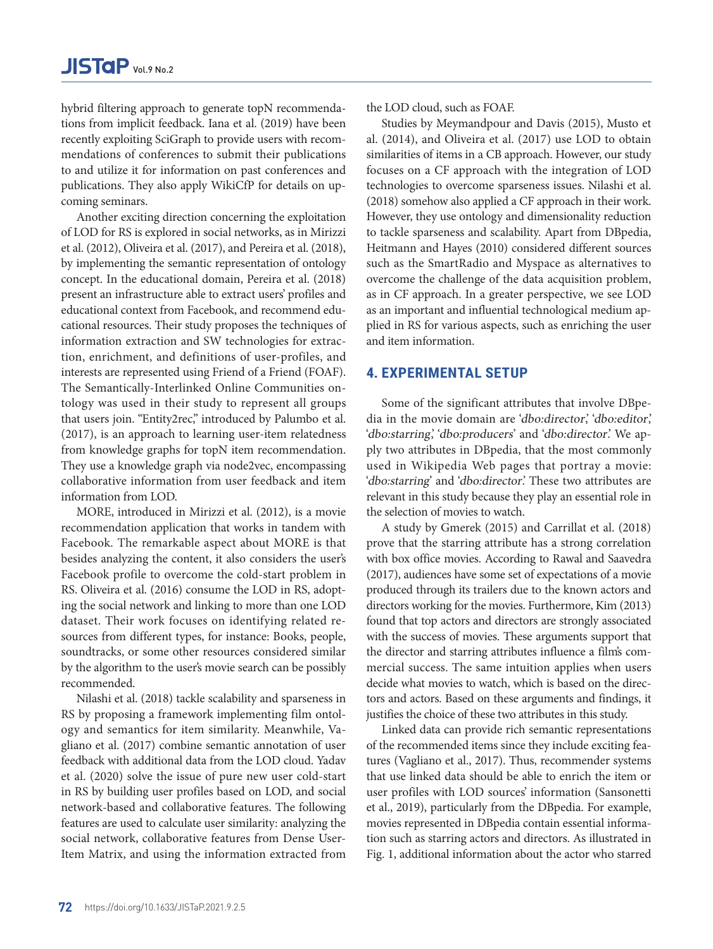hybrid filtering approach to generate topN recommendations from implicit feedback. Iana et al. (2019) have been recently exploiting SciGraph to provide users with recommendations of conferences to submit their publications to and utilize it for information on past conferences and publications. They also apply WikiCfP for details on upcoming seminars.

Another exciting direction concerning the exploitation of LOD for RS is explored in social networks, as in Mirizzi et al. (2012), Oliveira et al. (2017), and Pereira et al. (2018), by implementing the semantic representation of ontology concept. In the educational domain, Pereira et al. (2018) present an infrastructure able to extract users' profiles and educational context from Facebook, and recommend educational resources. Their study proposes the techniques of information extraction and SW technologies for extraction, enrichment, and definitions of user-profiles, and interests are represented using Friend of a Friend (FOAF). The Semantically-Interlinked Online Communities ontology was used in their study to represent all groups that users join. "Entity2rec," introduced by Palumbo et al. (2017), is an approach to learning user-item relatedness from knowledge graphs for topN item recommendation. They use a knowledge graph via node2vec, encompassing collaborative information from user feedback and item information from LOD.

MORE, introduced in Mirizzi et al. (2012), is a movie recommendation application that works in tandem with Facebook. The remarkable aspect about MORE is that besides analyzing the content, it also considers the user's Facebook profile to overcome the cold-start problem in RS. Oliveira et al. (2016) consume the LOD in RS, adopting the social network and linking to more than one LOD dataset. Their work focuses on identifying related resources from different types, for instance: Books, people, soundtracks, or some other resources considered similar by the algorithm to the user's movie search can be possibly recommended.

Nilashi et al. (2018) tackle scalability and sparseness in RS by proposing a framework implementing film ontology and semantics for item similarity. Meanwhile, Vagliano et al. (2017) combine semantic annotation of user feedback with additional data from the LOD cloud. Yadav et al. (2020) solve the issue of pure new user cold-start in RS by building user profiles based on LOD, and social network-based and collaborative features. The following features are used to calculate user similarity: analyzing the social network, collaborative features from Dense User-Item Matrix, and using the information extracted from the LOD cloud, such as FOAF.

Studies by Meymandpour and Davis (2015), Musto et al. (2014), and Oliveira et al. (2017) use LOD to obtain similarities of items in a CB approach. However, our study focuses on a CF approach with the integration of LOD technologies to overcome sparseness issues. Nilashi et al. (2018) somehow also applied a CF approach in their work. However, they use ontology and dimensionality reduction to tackle sparseness and scalability. Apart from DBpedia, Heitmann and Hayes (2010) considered different sources such as the SmartRadio and Myspace as alternatives to overcome the challenge of the data acquisition problem, as in CF approach. In a greater perspective, we see LOD as an important and influential technological medium applied in RS for various aspects, such as enriching the user and item information.

## **4. EXPERIMENTAL SETUP**

Some of the significant attributes that involve DBpedia in the movie domain are 'dbo:director,' 'dbo:editor,' 'dbo:starring,' dbo:producers' and 'dbo:director'. We apply two attributes in DBpedia, that the most commonly used in Wikipedia Web pages that portray a movie: 'dbo:starring' and 'dbo:director'. These two attributes are relevant in this study because they play an essential role in the selection of movies to watch.

A study by Gmerek (2015) and Carrillat et al. (2018) prove that the starring attribute has a strong correlation with box office movies. According to Rawal and Saavedra (2017), audiences have some set of expectations of a movie produced through its trailers due to the known actors and directors working for the movies. Furthermore, Kim (2013) found that top actors and directors are strongly associated with the success of movies. These arguments support that the director and starring attributes influence a film's commercial success. The same intuition applies when users decide what movies to watch, which is based on the directors and actors. Based on these arguments and findings, it justifies the choice of these two attributes in this study.

Linked data can provide rich semantic representations of the recommended items since they include exciting features (Vagliano et al., 2017). Thus, recommender systems that use linked data should be able to enrich the item or user profiles with LOD sources' information (Sansonetti et al., 2019), particularly from the DBpedia. For example, movies represented in DBpedia contain essential information such as starring actors and directors. As illustrated in Fig. 1, additional information about the actor who starred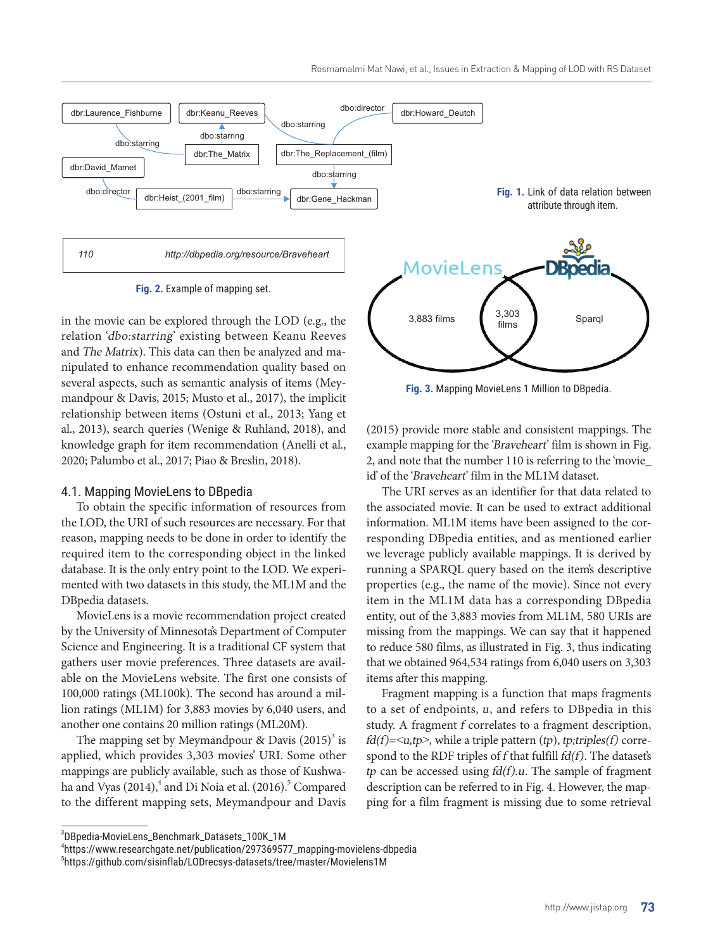

**Fig. 2.** Example of mapping set.

in the movie can be explored through the LOD (e.g., the relation 'dbo:starring' existing between Keanu Reeves and The Matrix). This data can then be analyzed and manipulated to enhance recommendation quality based on several aspects, such as semantic analysis of items (Meymandpour & Davis, 2015; Musto et al., 2017), the implicit relationship between items (Ostuni et al., 2013; Yang et al., 2013), search queries (Wenige & Ruhland, 2018), and knowledge graph for item recommendation (Anelli et al., 2020; Palumbo et al., 2017; Piao & Breslin, 2018).

#### 4.1. Mapping MovieLens to DBpedia

To obtain the specific information of resources from the LOD, the URI of such resources are necessary. For that reason, mapping needs to be done in order to identify the required item to the corresponding object in the linked database. It is the only entry point to the LOD. We experimented with two datasets in this study, the ML1M and the DBpedia datasets.

MovieLens is a movie recommendation project created by the University of Minnesota's Department of Computer Science and Engineering. It is a traditional CF system that gathers user movie preferences. Three datasets are available on the MovieLens website. The first one consists of 100,000 ratings (ML100k). The second has around a million ratings (ML1M) for 3,883 movies by 6,040 users, and another one contains 20 million ratings (ML20M).

The mapping set by Meymandpour & Davis  $(2015)^3$  is applied, which provides 3,303 movies' URI. Some other mappings are publicly available, such as those of Kushwaha and Vyas (2014),<sup>4</sup> and Di Noia et al. (2016).<sup>5</sup> Compared to the different mapping sets, Meymandpour and Davis

**Fig. 3.** Mapping MovieLens 1 Million to DBpedia. 3,883 films 3,303 Sparql films

(2015) provide more stable and consistent mappings. The example mapping for the 'Braveheart' film is shown in Fig. 2, and note that the number 110 is referring to the 'movie\_ id' of the 'Braveheart' film in the ML1M dataset.

The URI serves as an identifier for that data related to the associated movie. It can be used to extract additional information. ML1M items have been assigned to the corresponding DBpedia entities, and as mentioned earlier we leverage publicly available mappings. It is derived by running a SPARQL query based on the item's descriptive properties (e.g., the name of the movie). Since not every item in the ML1M data has a corresponding DBpedia entity, out of the 3,883 movies from ML1M, 580 URIs are missing from the mappings. We can say that it happened to reduce 580 films, as illustrated in Fig. 3, thus indicating that we obtained 964,534 ratings from 6,040 users on 3,303 items after this mapping.

Fragment mapping is a function that maps fragments to a set of endpoints, u, and refers to DBpedia in this study. A fragment f correlates to a fragment description,  $fd(f)=$ , while a triple pattern  $(tp)$ , tp;triples(f) correspond to the RDF triples of  $f$  that fulfill  $fd(f)$ . The dataset's tp can be accessed using  $fd(f).u$ . The sample of fragment description can be referred to in Fig. 4. However, the mapping for a film fragment is missing due to some retrieval

<sup>3</sup> DBpedia-MovieLens\_Benchmark\_Datasets\_100K\_1M

<sup>4</sup> https://www.researchgate.net/publication/297369577\_mapping-movielens-dbpedia

<sup>5</sup> https://github.com/sisinflab/LODrecsys-datasets/tree/master/Movielens1M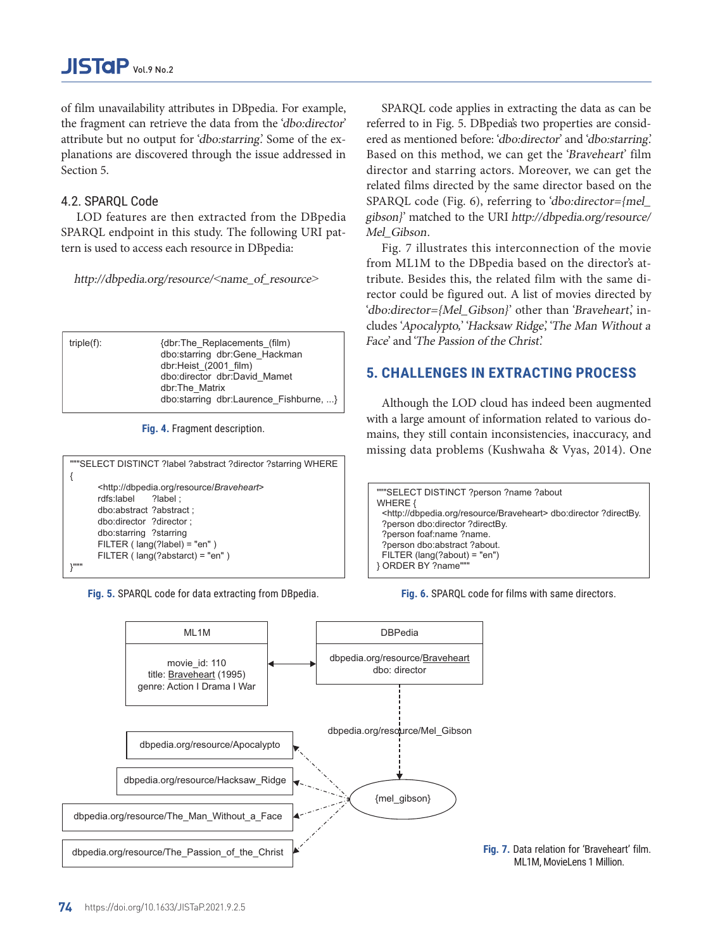of film unavailability attributes in DBpedia. For example, the fragment can retrieve the data from the 'dbo:director' attribute but no output for 'dbo:starring.' Some of the explanations are discovered through the issue addressed in Section 5.

## 4.2. SPARQL Code

LOD features are then extracted from the DBpedia SPARQL endpoint in this study. The following URI pattern is used to access each resource in DBpedia:

http://dbpedia.org/resource/<name\_of\_resource<sup>&</sup>gt;

| $triple(f)$ : | {dbr:The Replacements (film)<br>dbo:starring dbr:Gene Hackman<br>dbr:Heist (2001 film)<br>dbo:director dbr:David Mamet<br>dbr:The Matrix |
|---------------|------------------------------------------------------------------------------------------------------------------------------------------|
|               | dbo:starring dbr:Laurence Fishburne, }                                                                                                   |

**Fig. 4.** Fragment description.





dbpedia.org/resource/The\_Passion\_of\_the\_Christ dbpedia.org/resource/The\_Man\_Without\_a\_Face dbpedia.org/resource/Hacksaw\_Ridge dbpedia.org/resource/Apocalypto MI<sub>1M</sub> movie id: 110 title: Braveheart (1995) genre: Action I Drama I War {mel\_gibson} DBPedia dbpedia.org/resource/ Braveheart dbo: director dbpedia.org/resource/Mel\_Gibson

SPARQL code applies in extracting the data as can be referred to in Fig. 5. DBpedia's two properties are considered as mentioned before: 'dbo:director' and 'dbo:starring.' Based on this method, we can get the 'Braveheart' film director and starring actors. Moreover, we can get the related films directed by the same director based on the SPARQL code (Fig. 6), referring to 'dbo:director={mel\_ gibson}' matched to the URI http://dbpedia.org/resource/ Mel Gibson.

Fig. 7 illustrates this interconnection of the movie from ML1M to the DBpedia based on the director's attribute. Besides this, the related film with the same director could be figured out. A list of movies directed by 'dbo:director={Mel\_Gibson}' other than 'Braveheart', includes 'Apocalypto,' 'Hacksaw Ridge,' 'The Man Without a Face' and 'The Passion of the Christ.'

# **5. CHALLENGES IN EXTRACTING PROCESS**

Although the LOD cloud has indeed been augmented with a large amount of information related to various domains, they still contain inconsistencies, inaccuracy, and missing data problems (Kushwaha & Vyas, 2014). One

"""SELECT DISTINCT ?person ?name ?about WHERE  $\ell$ <http://dbpedia.org/resource/Braveheart> dbo:director ?directBy. ?person dbo:director ?directBy. ?person foaf:name ?name. ?person dbo:abstract ?about. FILTER (lang(?about)="en") } ORDER BY ?name"""

**Fig. 6.** SPARQL code for films with same directors.

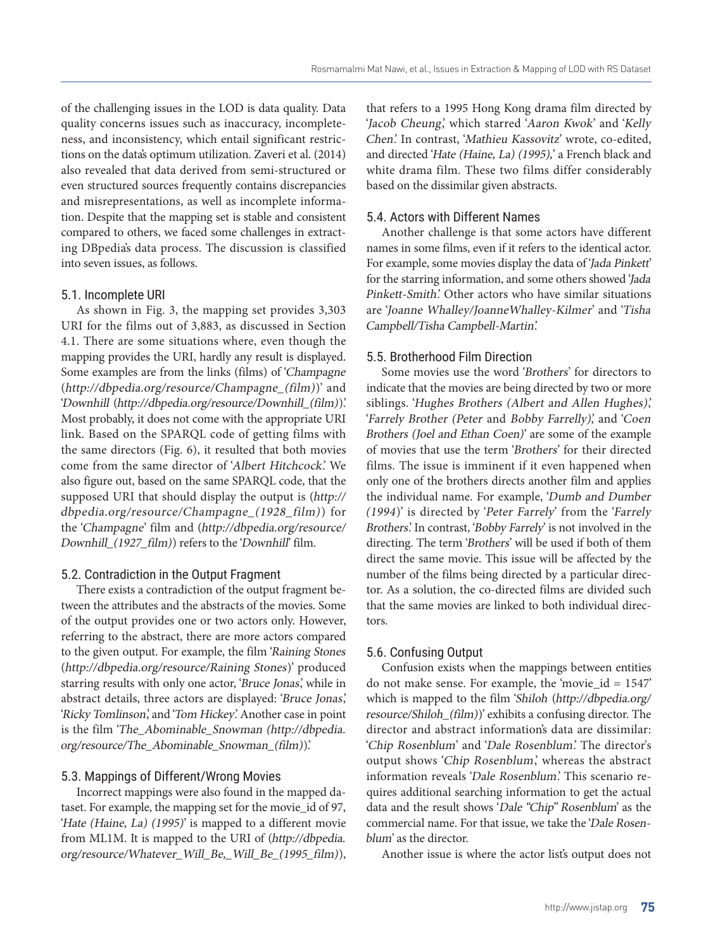of the challenging issues in the LOD is data quality. Data quality concerns issues such as inaccuracy, incompleteness, and inconsistency, which entail significant restrictions on the data's optimum utilization. Zaveri et al. (2014) also revealed that data derived from semi-structured or even structured sources frequently contains discrepancies and misrepresentations, as well as incomplete information. Despite that the mapping set is stable and consistent compared to others, we faced some challenges in extracting DBpedia's data process. The discussion is classified into seven issues, as follows.

## 5.1. Incomplete URI

As shown in Fig. 3, the mapping set provides 3,303 URI for the films out of 3,883, as discussed in Section 4.1. There are some situations where, even though the mapping provides the URI, hardly any result is displayed. Some examples are from the links (films) of 'Champagne (http://dbpedia.org/resource/Champagne\_(film))' and 'Downhill (http://dbpedia.org/resource/Downhill\_(film)).' Most probably, it does not come with the appropriate URI link. Based on the SPARQL code of getting films with the same directors (Fig. 6), it resulted that both movies come from the same director of 'Albert Hitchcock.' We also figure out, based on the same SPARQL code, that the supposed URI that should display the output is (http:// dbpedia.org/resource/Champagne\_(1928\_film)) for the 'Champagne' film and (http://dbpedia.org/resource/ Downhill (1927 film)) refers to the 'Downhill' film.

## 5.2. Contradiction in the Output Fragment

There exists a contradiction of the output fragment between the attributes and the abstracts of the movies. Some of the output provides one or two actors only. However, referring to the abstract, there are more actors compared to the given output. For example, the film 'Raining Stones (http://dbpedia.org/resource/Raining Stones)' produced starring results with only one actor, 'Bruce Jonas', while in abstract details, three actors are displayed: 'Bruce Jonas,' 'Ricky Tomlinson,' and 'Tom Hickey.' Another case in point is the film 'The\_Abominable\_Snowman (http://dbpedia. org/resource/The\_Abominable\_Snowman\_(film)).'

#### 5.3. Mappings of Different/Wrong Movies

Incorrect mappings were also found in the mapped dataset. For example, the mapping set for the movie\_id of 97, 'Hate (Haine, La) (1995)' is mapped to a different movie from ML1M. It is mapped to the URI of (http://dbpedia. org/resource/Whatever\_Will\_Be,\_Will\_Be\_(1995\_film)),

that refers to a 1995 Hong Kong drama film directed by 'Jacob Cheung,' which starred 'Aaron Kwok' and 'Kelly Chen.' In contrast, 'Mathieu Kassovitz' wrote, co-edited, and directed 'Hate (Haine, La) (1995),' a French black and white drama film. These two films differ considerably based on the dissimilar given abstracts.

## 5.4. Actors with Different Names

Another challenge is that some actors have different names in some films, even if it refers to the identical actor. For example, some movies display the data of 'Jada Pinkett' for the starring information, and some others showed 'Jada Pinkett-Smith.' Other actors who have similar situations are 'Joanne Whalley/JoanneWhalley-Kilmer' and 'Tisha Campbell/Tisha Campbell-Martin.'

## 5.5. Brotherhood Film Direction

Some movies use the word 'Brothers' for directors to indicate that the movies are being directed by two or more siblings. 'Hughes Brothers (Albert and Allen Hughes)', 'Farrely Brother (Peter and Bobby Farrelly)', and 'Coen Brothers (Joel and Ethan Coen)' are some of the example of movies that use the term 'Brothers' for their directed films. The issue is imminent if it even happened when only one of the brothers directs another film and applies the individual name. For example, 'Dumb and Dumber (1994)' is directed by 'Peter Farrely' from the 'Farrely Brothers.' In contrast, 'Bobby Farrely' is not involved in the directing. The term 'Brothers' will be used if both of them direct the same movie. This issue will be affected by the number of the films being directed by a particular director. As a solution, the co-directed films are divided such that the same movies are linked to both individual directors.

#### 5.6. Confusing Output

Confusion exists when the mappings between entities do not make sense. For example, the 'movie\_id = 1547' which is mapped to the film 'Shiloh (http://dbpedia.org/ resource/Shiloh\_(film))' exhibits a confusing director. The director and abstract information's data are dissimilar: 'Chip Rosenblum' and 'Dale Rosenblum.' The director's output shows 'Chip Rosenblum,' whereas the abstract information reveals 'Dale Rosenblum.' This scenario requires additional searching information to get the actual data and the result shows 'Dale "Chip" Rosenblum' as the commercial name. For that issue, we take the 'Dale Rosenblum' as the director.

Another issue is where the actor list's output does not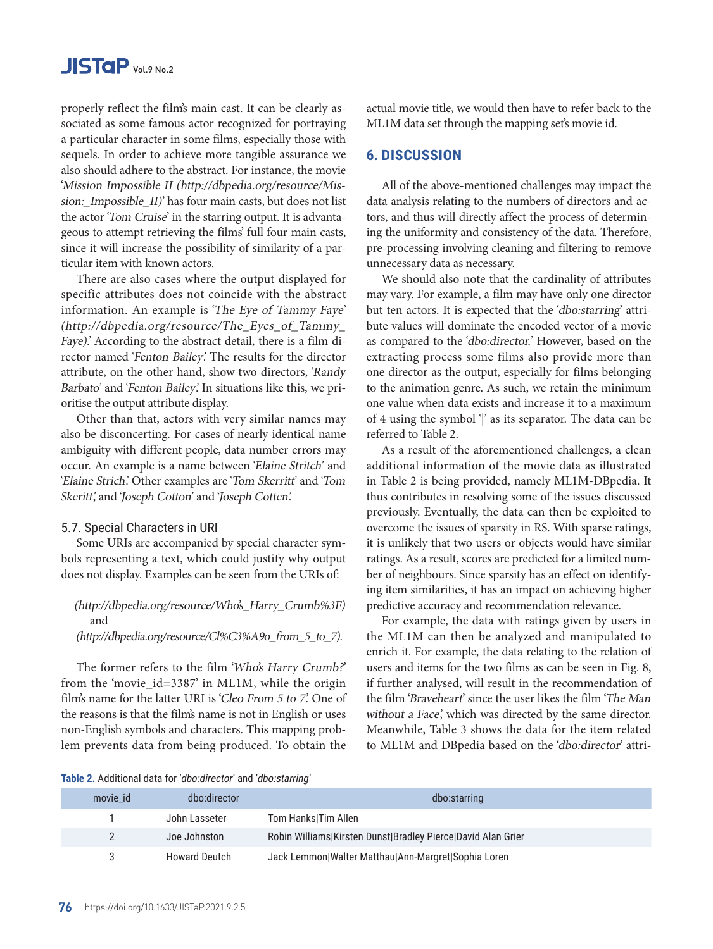properly reflect the film's main cast. It can be clearly associated as some famous actor recognized for portraying a particular character in some films, especially those with sequels. In order to achieve more tangible assurance we also should adhere to the abstract. For instance, the movie 'Mission Impossible II (http://dbpedia.org/resource/Mission:\_Impossible\_II)' has four main casts, but does not list the actor 'Tom Cruise' in the starring output. It is advantageous to attempt retrieving the films' full four main casts, since it will increase the possibility of similarity of a particular item with known actors.

There are also cases where the output displayed for specific attributes does not coincide with the abstract information. An example is 'The Eye of Tammy Faye' (http://dbpedia.org/resource/The\_Eyes\_of\_Tammy\_ Faye).' According to the abstract detail, there is a film director named 'Fenton Bailey.' The results for the director attribute, on the other hand, show two directors, 'Randy Barbato' and 'Fenton Bailey'. In situations like this, we prioritise the output attribute display.

Other than that, actors with very similar names may also be disconcerting. For cases of nearly identical name ambiguity with different people, data number errors may occur. An example is a name between 'Elaine Stritch' and 'Elaine Strich.' Other examples are 'Tom Skerritt' and 'Tom Skeritt', and 'Joseph Cotton' and 'Joseph Cotten'.

## 5.7. Special Characters in URI

Some URIs are accompanied by special character symbols representing a text, which could justify why output does not display. Examples can be seen from the URIs of:

# (http://dbpedia.org/resource/Who's\_Harry\_Crumb%3F) and

## (http://dbpedia.org/resource/Cl%C3%A9o\_from\_5\_to\_7).

The former refers to the film 'Who's Harry Crumb?' from the 'movie\_id=3387' in ML1M, while the origin film's name for the latter URI is 'Cleo From 5 to 7'. One of the reasons is that the film's name is not in English or uses non-English symbols and characters. This mapping problem prevents data from being produced. To obtain the actual movie title, we would then have to refer back to the ML1M data set through the mapping set's movie id.

## **6. DISCUSSION**

All of the above-mentioned challenges may impact the data analysis relating to the numbers of directors and actors, and thus will directly affect the process of determining the uniformity and consistency of the data. Therefore, pre-processing involving cleaning and filtering to remove unnecessary data as necessary.

We should also note that the cardinality of attributes may vary. For example, a film may have only one director but ten actors. It is expected that the 'dbo:starring' attribute values will dominate the encoded vector of a movie as compared to the 'dbo:director.' However, based on the extracting process some films also provide more than one director as the output, especially for films belonging to the animation genre. As such, we retain the minimum one value when data exists and increase it to a maximum of 4 using the symbol  $\gamma$  as its separator. The data can be referred to Table 2.

As a result of the aforementioned challenges, a clean additional information of the movie data as illustrated in Table 2 is being provided, namely ML1M-DBpedia. It thus contributes in resolving some of the issues discussed previously. Eventually, the data can then be exploited to overcome the issues of sparsity in RS. With sparse ratings, it is unlikely that two users or objects would have similar ratings. As a result, scores are predicted for a limited number of neighbours. Since sparsity has an effect on identifying item similarities, it has an impact on achieving higher predictive accuracy and recommendation relevance.

For example, the data with ratings given by users in the ML1M can then be analyzed and manipulated to enrich it. For example, the data relating to the relation of users and items for the two films as can be seen in Fig. 8, if further analysed, will result in the recommendation of the film 'Braveheart' since the user likes the film 'The Man without a Face,' which was directed by the same director. Meanwhile, Table 3 shows the data for the item related to ML1M and DBpedia based on the 'dbo:director' attri-

**Table 2.** Additional data for 'dbo:director' and 'dbo:starring'

| movie_id | dbo:director         | dbo:starring                                                 |
|----------|----------------------|--------------------------------------------------------------|
|          | John Lasseter        | Tom HankslTim Allen                                          |
|          | Joe Johnston         | Robin Williams Kirsten Dunst Bradley Pierce David Alan Grier |
|          | <b>Howard Deutch</b> | Jack Lemmon Walter Matthau Ann-Margret Sophia Loren          |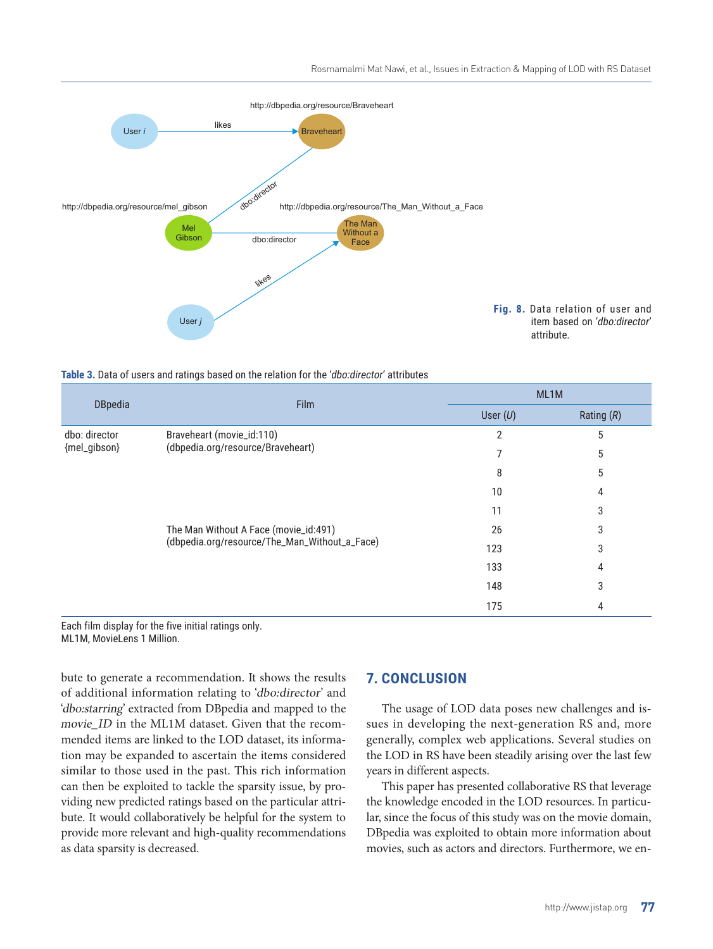

**Table 3.** Data of users and ratings based on the relation for the 'dbo:director' attributes

| <b>DBpedia</b>                | <b>Film</b>                                                                            |            | ML1M         |  |
|-------------------------------|----------------------------------------------------------------------------------------|------------|--------------|--|
|                               |                                                                                        | User $(U)$ | Rating $(R)$ |  |
| dbo: director<br>{mel_gibson} | Braveheart (movie_id:110)<br>(dbpedia.org/resource/Braveheart)                         | 2          | 5            |  |
|                               |                                                                                        |            | 5            |  |
|                               |                                                                                        | 8          | 5            |  |
|                               |                                                                                        | 10         | 4            |  |
|                               |                                                                                        | 11         | 3            |  |
|                               | The Man Without A Face (movie_id:491)<br>(dbpedia.org/resource/The_Man_Without_a_Face) | 26         | 3            |  |
|                               |                                                                                        | 123        | 3            |  |
|                               |                                                                                        | 133        | 4            |  |
|                               |                                                                                        | 148        | 3            |  |
|                               |                                                                                        | 175        | 4            |  |

Each film display for the five initial ratings only. ML1M, MovieLens 1 Million.

bute to generate a recommendation. It shows the results of additional information relating to 'dbo:director' and 'dbo:starring' extracted from DBpedia and mapped to the movie ID in the ML1M dataset. Given that the recommended items are linked to the LOD dataset, its information may be expanded to ascertain the items considered similar to those used in the past. This rich information can then be exploited to tackle the sparsity issue, by providing new predicted ratings based on the particular attribute. It would collaboratively be helpful for the system to provide more relevant and high-quality recommendations as data sparsity is decreased.

# **7. CONCLUSION**

The usage of LOD data poses new challenges and issues in developing the next-generation RS and, more generally, complex web applications. Several studies on the LOD in RS have been steadily arising over the last few years in different aspects.

This paper has presented collaborative RS that leverage the knowledge encoded in the LOD resources. In particular, since the focus of this study was on the movie domain, DBpedia was exploited to obtain more information about movies, such as actors and directors. Furthermore, we en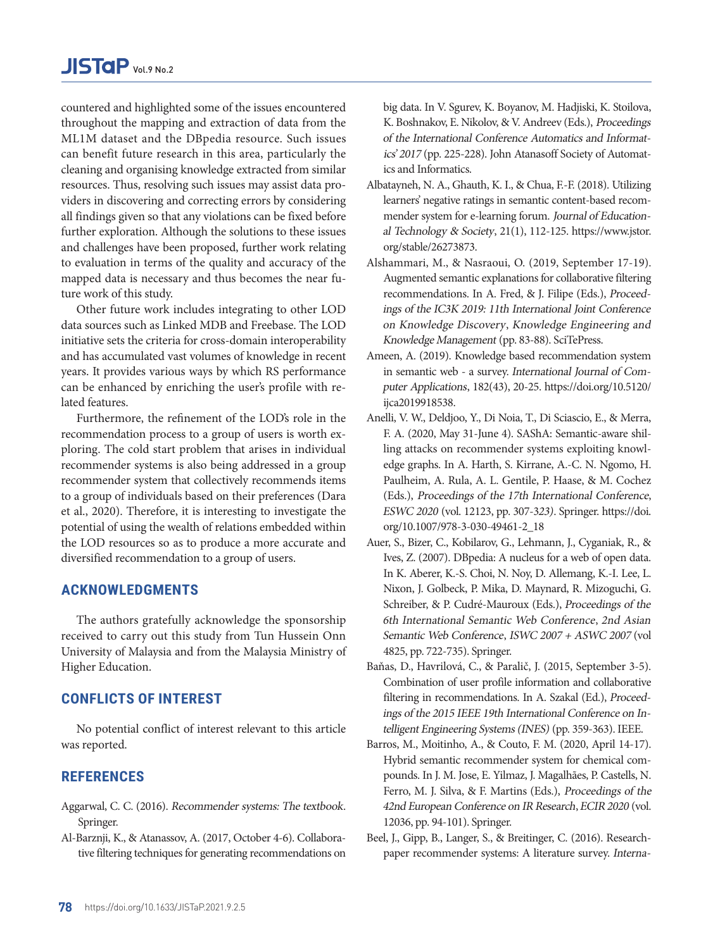countered and highlighted some of the issues encountered throughout the mapping and extraction of data from the ML1M dataset and the DBpedia resource. Such issues can benefit future research in this area, particularly the cleaning and organising knowledge extracted from similar resources. Thus, resolving such issues may assist data providers in discovering and correcting errors by considering all findings given so that any violations can be fixed before further exploration. Although the solutions to these issues and challenges have been proposed, further work relating to evaluation in terms of the quality and accuracy of the mapped data is necessary and thus becomes the near future work of this study.

Other future work includes integrating to other LOD data sources such as Linked MDB and Freebase. The LOD initiative sets the criteria for cross-domain interoperability and has accumulated vast volumes of knowledge in recent years. It provides various ways by which RS performance can be enhanced by enriching the user's profile with related features.

Furthermore, the refinement of the LOD's role in the recommendation process to a group of users is worth exploring. The cold start problem that arises in individual recommender systems is also being addressed in a group recommender system that collectively recommends items to a group of individuals based on their preferences (Dara et al., 2020). Therefore, it is interesting to investigate the potential of using the wealth of relations embedded within the LOD resources so as to produce a more accurate and diversified recommendation to a group of users.

# **ACKNOWLEDGMENTS**

The authors gratefully acknowledge the sponsorship received to carry out this study from Tun Hussein Onn University of Malaysia and from the Malaysia Ministry of Higher Education.

# **CONFLICTS OF INTEREST**

No potential conflict of interest relevant to this article was reported.

## **REFERENCES**

- Aggarwal, C. C. (2016). [Recommender systems: The textbook](https://link.springer.com/book/10.1007%2F978-3-319-29659-3). [Springer.](https://link.springer.com/book/10.1007%2F978-3-319-29659-3)
- [Al-Barznji, K., & Atanassov, A. \(2017, October 4-6\). Collabora](https://www.researchgate.net/profile/Kamal-Al-Barznji/publication/321808484_COLLABORATIVE_FILTERING_TECHNIQUES_FOR_GENERATING_RECOMMENDATIONS_ON_BIG_DATA/links/5a32fb550f7e9b2a28411d58/COLLABORATIVE-FILTERING-TECHNIQUES-FOR-GENERATING-RECOMMENDATIONS-ON-BIG-DATA.pdf)[tive filtering techniques for generating recommendations on](https://www.researchgate.net/profile/Kamal-Al-Barznji/publication/321808484_COLLABORATIVE_FILTERING_TECHNIQUES_FOR_GENERATING_RECOMMENDATIONS_ON_BIG_DATA/links/5a32fb550f7e9b2a28411d58/COLLABORATIVE-FILTERING-TECHNIQUES-FOR-GENERATING-RECOMMENDATIONS-ON-BIG-DATA.pdf)

[big data. In V. Sgurev, K. Boyanov, M. Hadjiski, K. Stoilova,](https://www.researchgate.net/profile/Kamal-Al-Barznji/publication/321808484_COLLABORATIVE_FILTERING_TECHNIQUES_FOR_GENERATING_RECOMMENDATIONS_ON_BIG_DATA/links/5a32fb550f7e9b2a28411d58/COLLABORATIVE-FILTERING-TECHNIQUES-FOR-GENERATING-RECOMMENDATIONS-ON-BIG-DATA.pdf) [K. Boshnakov, E. Nikolov, & V. Andreev \(Eds.\),](https://www.researchgate.net/profile/Kamal-Al-Barznji/publication/321808484_COLLABORATIVE_FILTERING_TECHNIQUES_FOR_GENERATING_RECOMMENDATIONS_ON_BIG_DATA/links/5a32fb550f7e9b2a28411d58/COLLABORATIVE-FILTERING-TECHNIQUES-FOR-GENERATING-RECOMMENDATIONS-ON-BIG-DATA.pdf) Proceedings [of the International Conference Automatics and Informat](https://www.researchgate.net/profile/Kamal-Al-Barznji/publication/321808484_COLLABORATIVE_FILTERING_TECHNIQUES_FOR_GENERATING_RECOMMENDATIONS_ON_BIG_DATA/links/5a32fb550f7e9b2a28411d58/COLLABORATIVE-FILTERING-TECHNIQUES-FOR-GENERATING-RECOMMENDATIONS-ON-BIG-DATA.pdf)ics' 2017 [\(pp. 225-228\). John Atanasoff Society of Automat](https://www.researchgate.net/profile/Kamal-Al-Barznji/publication/321808484_COLLABORATIVE_FILTERING_TECHNIQUES_FOR_GENERATING_RECOMMENDATIONS_ON_BIG_DATA/links/5a32fb550f7e9b2a28411d58/COLLABORATIVE-FILTERING-TECHNIQUES-FOR-GENERATING-RECOMMENDATIONS-ON-BIG-DATA.pdf)[ics and Informatics](https://www.researchgate.net/profile/Kamal-Al-Barznji/publication/321808484_COLLABORATIVE_FILTERING_TECHNIQUES_FOR_GENERATING_RECOMMENDATIONS_ON_BIG_DATA/links/5a32fb550f7e9b2a28411d58/COLLABORATIVE-FILTERING-TECHNIQUES-FOR-GENERATING-RECOMMENDATIONS-ON-BIG-DATA.pdf).

- Albatayneh, N. A., Ghauth, K. I., & Chua, F.-F. (2018). Utilizing learners' negative ratings in semantic content-based recommender system for e-learning forum. Journal of Educational Technology & Society, 21(1), 112-125. [https://www.jstor.](https://www.jstor.org/stable/26273873) [org/stable/26273873.](https://www.jstor.org/stable/26273873)
- [Alshammari, M., & Nasraoui, O. \(2019, September 17-19\).](https://doi.org/10.5220/0008070900830088) [Augmented semantic explanations for collaborative filtering](https://doi.org/10.5220/0008070900830088) [recommendations. In A. Fred, & J. Filipe \(Eds.\),](https://doi.org/10.5220/0008070900830088) Proceed[ings of the IC3K 2019: 11th International Joint Conference](https://doi.org/10.5220/0008070900830088)  on Knowledge Discovery, [Knowledge Engineering and](https://doi.org/10.5220/0008070900830088)  [Knowledge Management](https://doi.org/10.5220/0008070900830088) (pp. 83-88). SciTePress.
- Ameen, A. (2019). Knowledge based recommendation system in semantic web - a survey. International Journal of Computer Applications, 182(43), 20-25. [https://doi.org/10.5120/](https://doi.org/10.5120/ijca2019918538) [ijca2019918538.](https://doi.org/10.5120/ijca2019918538)
- [Anelli, V. W., Deldjoo, Y., Di Noia, T., Di Sciascio, E., & Merra,](https://doi.org/10.1007/978-3-540-76298-0_52)  [F. A. \(2020, May 31-June 4\). SAShA: Semantic-aware shil](https://doi.org/10.1007/978-3-540-76298-0_52)[ling attacks on recommender systems exploiting knowl](https://doi.org/10.1007/978-3-540-76298-0_52)[edge graphs. In A. Harth, S. Kirrane, A.-C. N. Ngomo, H.](https://doi.org/10.1007/978-3-540-76298-0_52) [Paulheim, A. Rula, A. L. Gentile, P. Haase, & M. Cochez](https://doi.org/10.1007/978-3-540-76298-0_52)  (Eds.), [Proceedings of the 17th International Conference](https://doi.org/10.1007/978-3-540-76298-0_52), ESWC 2020 [\(vol. 12123, pp. 307-3](https://doi.org/10.1007/978-3-540-76298-0_52)23). Springer. https://doi. [org/10.1007/978-3-030-49461-2\\_](https://doi.org/10.1007/978-3-540-76298-0_52)[18](https://doi.org/10.1007/978-3-030-45442-5_12)
- [Auer, S., Bizer, C., Kobilarov, G., Lehmann, J., Cyganiak, R., &](https://doi.org/10.1007/978-3-030-45442-5_12)  [Ives, Z. \(2007\). DBpedia: A nucleus for a web of open data.](https://doi.org/10.1007/978-3-030-45442-5_12)  [In K. Aberer, K.-S. Choi, N. Noy, D. Allemang, K.-I. Lee, L.](https://doi.org/10.1007/978-3-030-45442-5_12) [Nixon, J. Golbeck, P. Mika, D. Maynard, R. Mizoguchi, G.](https://doi.org/10.1007/978-3-030-45442-5_12)  [Schreiber, & P. Cudré-Mauroux \(Eds.\),](https://doi.org/10.1007/978-3-030-45442-5_12) Proceedings of the [6th International Se](https://doi.org/10.1007/978-3-030-45442-5_12)mantic Web Conference, 2nd Asian Semantic Web Conference, ISWC 2007 + ASWC 2007 (vol 4825, pp. 722-735). Springer.
- [Baňas, D., Havrilová, C., & Paralič, J. \(2015, September 3-5\).](https://doi.org/10.1145/2365952.2365964)  [Combination of user profile inf](https://doi.org/10.1145/2365952.2365964)or[mation and collaborative](https://doi.org/10.1007/978-3-319-38791-8_25)  [filtering in recommendations. In A. Szakal \(Ed.\),](https://doi.org/10.1007/978-3-319-38791-8_25) Proceed[ings of the 2015 IEEE 19th International Conference on In](https://doi.org/10.1007/978-3-319-38791-8_25)[telligent Engineering Systems \(INES\)](https://doi.org/10.1007/978-3-319-38791-8_25) (pp. 359-363). IEEE.
- [Barros, M., Moitinho, A., & Couto, F. M. \(2020, April 14-17\).](https://doi.org/10.1007/978-3-319-38791-8_25) [Hybrid semantic recommender system for chemical com](https://doi.org/10.1007/978-3-319-38791-8_25)[pounds. In J. M. Jose, E. Yilmaz, J. Magalhães, P. Castells, N.](https://doi.org/10.1007/978-3-319-38791-8_25) [Ferro, M. J. Silva, & F. Martins \(Eds.\),](https://doi.org/10.1007/978-3-319-38791-8_25) Proceedings of the [42nd European Conference on IR Research](https://doi.org/10.1007/978-3-319-38791-8_25), ECIR 2020 (vol. [12036, pp. 94-101\). Springer.](https://doi.org/10.1007/978-3-319-38791-8_25)
- [Beel, J., Gipp, B., Langer, S., & Breitinger, C.](https://doi.org/10.1007/978-3-319-38791-8_25) (2016). Research[paper recommender sys](https://doi.org/10.1007/978-3-319-38791-8_25)tems: A literature survey. Interna-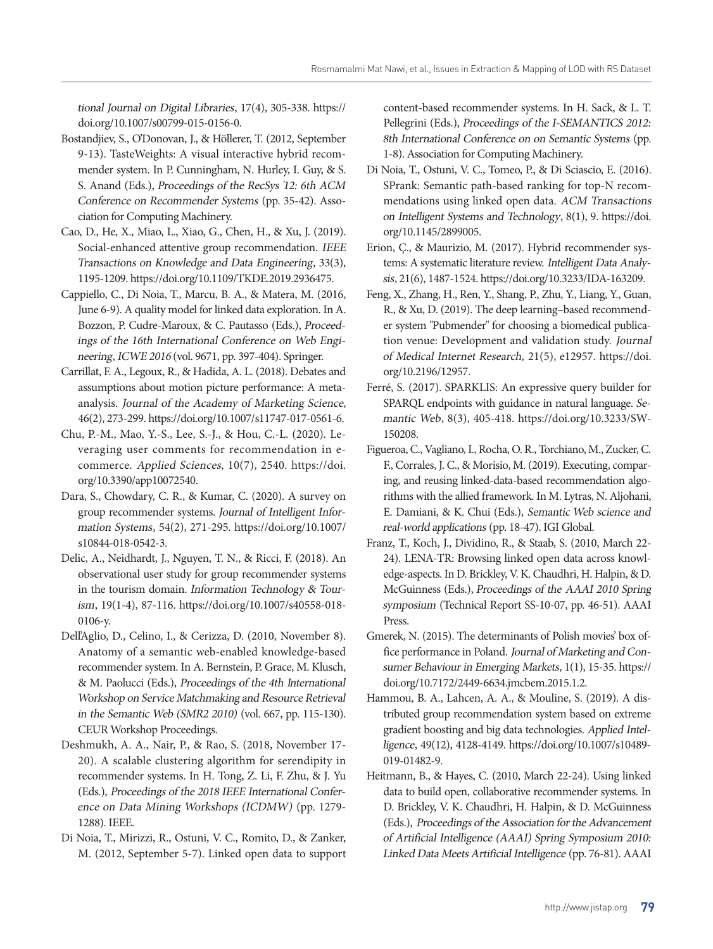tional Journal on Digital Libraries, 17(4), 305-338. https:// doi.org/10.1007/s00799-015-0156-0.

- Bostandjiev, S., O'Donovan, J., & Höllerer, T. (2012, Septemb[er](https://doi.org/10.1007/s11747-017-0561-6)  [9-13\). TasteWeights: A visual interactiv](https://doi.org/10.1007/s11747-017-0561-6)e hybrid recommender system. In P. Cunningham, N. Hurley, I. Guy, & S. S. Anand (Eds.), Proceedings of the RecSys '12: 6th ACM Conference on Recommender Systems [\(pp. 35-42\). Asso](https://doi.org/10.3390/app10072540)[ciatio](https://doi.org/10.3390/app10072540)[n for Computing Machinery.](http://ceur-ws.org/Vol-667/smr22010_submission_8.pdf)
- [Cao, D., He, X., Miao, L., Xiao, G., Chen, H., & Xu, J. \(2019\).](http://ceur-ws.org/Vol-667/smr22010_submission_8.pdf) [Social-enhanced attentive group recommendation.](http://ceur-ws.org/Vol-667/smr22010_submission_8.pdf) IEEE [Transactions on Knowledge and Data Engineering](http://ceur-ws.org/Vol-667/smr22010_submission_8.pdf), 33(3), [1195-1209. https://doi.org/10.1109/TKDE.2019.2936475.](http://ceur-ws.org/Vol-667/smr22010_submission_8.pdf)
- [Cappiello, C., Di Noia, T., Marcu, B. A., & Matera, M. \(2016,](http://ceur-ws.org/Vol-667/smr22010_submission_8.pdf)  [June 6-9\). A quality model for linked data explorati](http://ceur-ws.org/Vol-667/smr22010_submission_8.pdf)on. In A. Bozzon, P. Cudre-Maroux, & C. Pautasso (Eds.), Proceedings of the 16th International Conference on Web Engineering, ICWE 2016 (vol. 9671, pp. 397-404). Springer.
- Carrillat, F. A., Leg[oux, R., & Hadida, A. L. \(2018\). Debates an](https://doi.org/10.1007/s40558-018-0106-y)d assumptions about motion picture performance: A metaanalysis. Journal of the Academy of Marketing Science, 46(2), 273-299. https://doi.org/10.1007/s11747-017-0561-6.
- Chu, P.-M., Mao, Y.-S., Lee, S.-J., & Hou, C.-L[. \(2020\). Le](https://doi.org/10.1145/2899005)[veraging user comment](https://doi.org/10.1145/2899005)s for recommendation in ecommerce. Applied Sciences, 10(7), 2540. https://doi. org/10.3390/app10072540.
- Dara, S., Chowdary, C. R., & Kumar, C. (2020). A survey on group recommender systems. Journal of Intelligent Information Systems, 54(2), 271-295. https://doi.org[/10.1007/](https://doi.org/10.2196/12957) [s10844-018-0542-3.](https://doi.org/10.2196/12957)
- [De](https://doi.org/10.2196/12957)lic, A., Neidhardt, J., Nguyen, T. N., & Ricci, F. (2018). An observational user study for group recommender systems in the tourism domain. In[formation Technology & Tour](https://doi.org/10.3233/SW-150208)ism[, 19\(](https://doi.org/10.3233/SW-150208)1[-4\), 87-116. https://doi.org/10.1007/s40558-018-](https://doi.org/10.4018/978-1-5225-7186-5.ch002) [0106-y.](https://doi.org/10.4018/978-1-5225-7186-5.ch002)
- [Dell'Aglio, D., Celino, I., & Cerizza, D. \(2010, November 8\).](https://doi.org/10.4018/978-1-5225-7186-5.ch002)  [Anatomy of a semantic web-enabled knowledge-based](https://doi.org/10.4018/978-1-5225-7186-5.ch002)  [recommender system. In A. Bernstein, P. Grace, M. Klusch,](https://doi.org/10.4018/978-1-5225-7186-5.ch002)  & M. Paolucci (Eds.), [Proceedings of the 4th International](https://doi.org/10.4018/978-1-5225-7186-5.ch002)  [Workshop on Service Matchmaking and Resource Retrieval](https://doi.org/10.4018/978-1-5225-7186-5.ch002)  [in th](https://doi.org/10.4018/978-1-5225-7186-5.ch002)e [Semantic Web \(SMR2 2010\)](https://www.aaai.org/Library/Symposia/Spring/ss10-07.php) (vol. 667, pp. 115-130). [CEUR Workshop Proceedings.](https://www.aaai.org/Library/Symposia/Spring/ss10-07.php)
- [Deshmukh, A. A., Nair, P., & Rao, S. \(2018, November 17-](https://www.aaai.org/Library/Symposia/Spring/ss10-07.php) [20\). A scalable clustering algorithm for serendipity in](https://www.aaai.org/Library/Symposia/Spring/ss10-07.php)  [recommender systems. In H. Tong, Z. Li, F. Zhu, & J.](https://www.aaai.org/Library/Symposia/Spring/ss10-07.php) Yu (Eds.), [Proceedings of the 2018 IEEE Internation](https://www.aaai.org/Library/Symposia/Spring/ss10-07.php)al Conference on Data Mining Workshops (ICDMW) (pp. 1279- 1288). IEEE.
- Di Noia, T., Mirizzi, R., Ostuni, V. C., Romito, D., & Zanker, M. (2012, September 5-7). Linked o[pen data to support](https://doi.org/10.7172/2449-6634.jmcbem.2015.1.2)

[content-based recommender syst](https://doi.org/10.7172/2449-6634.jmcbem.2015.1.2)ems. In H. Sack, & L. T. Pellegrini (Eds.), Proceedings of the I-SEMANTICS 2012: 8th International Conference on on Semantic Systems (pp. 1-8). Association for Computing Machinery.

- Di Noia, T., Ost[uni, V. C., Tomeo, P., & Di Sciascio, E. \(2](https://doi.org/10.1007/s10489-019-01482-9)016). SPrank: Semantic path-based ranking for top-N recommendations using linked open data. ACM Transactions on Intelligent Systems and Technology, 8(1), 9. https://doi. org/10.1145/2899005.
- Erion, Ç., & Maurizio, M. (2017). Hybrid recommender s[ys](https://doi.org/10.18517/ijaseit.2.6.242)[tems: A systematic literature review.](https://doi.org/10.18517/ijaseit.2.6.242) I[ntelligent Data Analy](https://doi.org/10.1007/978-3-030-33220-4_9)sis[, 21\(6\), 1487-1524. https://doi.org/10.3233/IDA-163209.](https://doi.org/10.1007/978-3-030-33220-4_9)
- [Feng, X., Zhang, H., Ren, Y., Shang, P., Zhu, Y., Liang, Y., Guan,](https://doi.org/10.1007/978-3-030-33220-4_9) [R., & Xu, D. \(2019\). The deep learning–based recommend](https://doi.org/10.1007/978-3-030-33220-4_9)[er system "Pubmender" for choosing a biomedical publica](https://doi.org/10.1007/978-3-030-33220-4_9)[tion venue: Development and validation study.](https://doi.org/10.1007/978-3-030-33220-4_9) Journal [of Medical Internet Research,](https://doi.org/10.1007/978-3-030-33220-4_9) 21(5), e12957. https://doi. [org/10.2196/12957.](https://doi.org/10.1007/978-3-030-33220-4_9)
- [F](https://doi.org/10.1007/978-3-030-33220-4_9)erré, S. (2017). SPARKLIS: An expressive query builder for SPARQL endpoints with guidance in natural language. Semantic Web, 8(3), 405-418. https://doi.org/10.3233/SW-150208.
- Figueroa, C., Vagliano, I., Ro[cha, O. R., Torchiano, M., Zucker, C.](https://doi.org/10.18178/ijmlc.2020.10.3.954)  [F., Cor](https://doi.org/10.18178/ijmlc.2020.10.3.954)r[ales, J. C., & Morisio, M. \(2019\). Executing, compar](https://doi.org/10.1017/CBO9780511763113)[ing, and reusing linked-data-based recommendation algo](https://doi.org/10.1017/CBO9780511763113)[rithms with the allied f](https://doi.org/10.1017/CBO9780511763113)ramework. In M. Lytras, N. Aljohani, E. Damiani, & K. Chui (Eds.), Semantic Web science and real-world applications (pp. 1[8-47\). IGI Global.](https://doi.org/10.1080/13504851.2013.783678)
- [Franz, T., Koch, J., Dividi](https://doi.org/10.1080/13504851.2013.783678)n[o, R., & Staab, S. \(2010, March 22-](https://doi.org/10.1109/BIGCOMP.2014.6741412) [24\). LENA-TR: Browsing linked open data across knowl](https://doi.org/10.1109/BIGCOMP.2014.6741412)[edge-aspects. In D. Brickley, V. K. Chaudhri, H. Halpin, & D.](https://doi.org/10.1109/BIGCOMP.2014.6741412)  McGuinness (Eds.), [Proceedings of the AAAI 2010 Spring](https://doi.org/10.1109/BIGCOMP.2014.6741412)  symposium [\(Technical Report SS-10-07, pp. 46-51\). AAAI](https://doi.org/10.1109/BIGCOMP.2014.6741412)  [Press.](https://doi.org/10.1109/BIGCOMP.2014.6741412)
- [Gmerek, N. \(2015\). The deter](https://doi.org/10.1109/BIGCOMP.2014.6741412)m[inants of Polish movies' box of](http://ceur-ws.org/Vol-1417/)fice performance in Poland. [Journal of Marketing and Con](http://ceur-ws.org/Vol-1417/)[sumer Behaviour in Emerging Markets](http://ceur-ws.org/Vol-1417/), 1(1), 15-35. https:// [doi.org/10.7172/2449-6634.jmcbem.2015.1.2.](http://ceur-ws.org/Vol-1417/)
- [Hammou, B. A., Lahcen, A. A., & Mouline, S. \(2019\). A dis](http://ceur-ws.org/Vol-1417/)[tributed group recommendation system based on extreme](http://ceur-ws.org/Vol-1417/)  [gradient boosting and big data technologies.](http://ceur-ws.org/Vol-1417/) Applied Intelligence[, 49\(12\), 4128-4149. https://doi.org/10.1007/s1](http://ceur-ws.org/Vol-1417/)04[89-](https://doi.org/10.1145/2675744.2675759) [019-01482-9.](https://doi.org/10.1145/2675744.2675759)
- [Heitmann, B., & Hayes, C. \(2010, March 22-24\). Using linked](https://doi.org/10.1145/2675744.2675759)  [data to build open, collaborative recommender systems. In](https://doi.org/10.1145/2675744.2675759)  [D. Brickley, V. K. Chaudhri, H. Halpin, & D. McGuinness](https://doi.org/10.1145/2675744.2675759)  (Eds.), [Proceedings of the Association for the Advancement](https://doi.org/10.1145/2675744.2675759) [of Artificial Intelligence \(AAAI\) Spring Symposium 2010:](https://doi.org/10.1145/2675744.2675759)  Linked Data Meets Artificial Intelligence (pp. 76-81). AAAI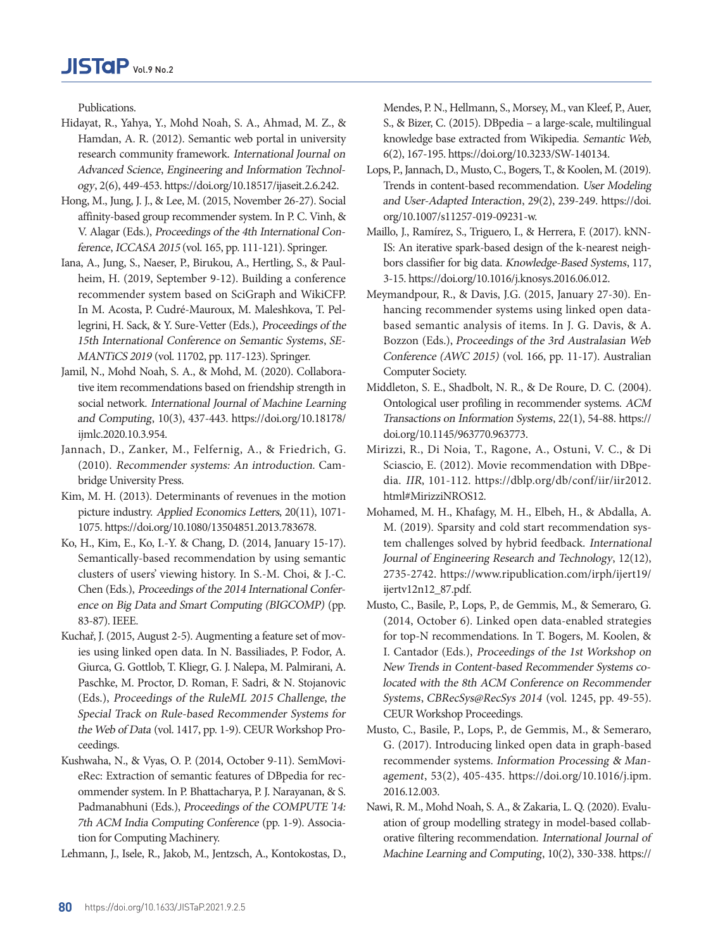Publications.

- Hidayat, R., Yahya, Y., Mohd Noah, S. A., Ahmad, M. Z., & Hamdan, A. R. (2012). Semantic web portal in university research community framework. International Journal on Advanced Science, [Engineering and Information Technol](https://doi.org/10.3233/SW-140134)ogy, 2(6), 449-453. https://doi.org/10.18517/ijaseit.2.6.242.
- Hong, M., Jung, J. J., & Lee, M. (2015, November 26-27). Social affinity-based group recommender system. I[n P. C. Vinh, &](https://doi.org/10.1007/s11257-019-09231-w)  [V. Alagar \(Eds.\),](https://doi.org/10.1007/s11257-019-09231-w) Proceedings of the 4th International Conference, ICCASA 2015 (vol. 165, pp. 111-121). Springer.
- Iana, A., Jung, S., Naeser, P., Birukou, A., Hertling, S., & Paulheim, H. (2019, September 9-12). Buil[ding a conference](https://doi.org/10.1016/j.knosys.2016.06.012)  [recommender system based on](https://doi.org/10.1016/j.knosys.2016.06.012) SciGraph and WikiCFP. In M. Acosta, P. Cudré-Mauroux, M. Maleshkova, T. Pellegrini, H. Sack, & Y. Sure-Vetter (Eds.), Proceedings of the 15th International Conference on Semantic Systems, SE-MANTiCS 2019 (vol. 11702, pp. 117-1[23\). Springer.](https://doi.org/10.18178/ijmlc.2020.10.2.939)
- [Jamil, N., Mohd Noah, S. A., &](https://doi.org/10.18178/ijmlc.2020.10.2.939) [Mohd, M. \(2020\). Collabora](https://crpit.scem.westernsydney.edu.au/confpapers/CRPITV166Meymandpour.pdf)[tive item recommendations based on friendship strength in](https://crpit.scem.westernsydney.edu.au/confpapers/CRPITV166Meymandpour.pdf)  social network. [International Journal of Machine Learning](https://crpit.scem.westernsydney.edu.au/confpapers/CRPITV166Meymandpour.pdf)  and Computing[, 10\(3\), 437-443. https://doi.org/10.18178/](https://crpit.scem.westernsydney.edu.au/confpapers/CRPITV166Meymandpour.pdf) [ijmlc.2020.10.3.954.](https://crpit.scem.westernsydney.edu.au/confpapers/CRPITV166Meymandpour.pdf)
- [Jannach, D., Zanker, M., Felfernig, A., & Friedrich, G.](https://crpit.scem.westernsydney.edu.au/confpapers/CRPITV166Meymandpour.pdf)  (2010). [Recomm](https://crpit.scem.westernsydney.edu.au/confpapers/CRPITV166Meymandpour.pdf)ender systems: An introduction. Cambridge University Press.
- Kim, M. H. (2013). Determinants of revenues in the motion picture industry. Applied Economics Letters, 20(11)[, 1071-](https://doi.org/10.1145/963770.963773) [1075. https://doi.org/10.1080/](https://doi.org/10.1145/963770.963773)13504851.2013.783678.
- Ko, H., Kim, E., Ko, I.-Y. & Chang, D. (2014, January 15-17). Semantically-based recommendation by using sem[antic](https://dblp.org/db/conf/iir/iir2012.html#MirizziNROS12)  [clusters of users' viewing history. In S.-M. Choi](https://dblp.org/db/conf/iir/iir2012.html#MirizziNROS12), [& J.-C.](http://ceur-ws.org/Vol-1245/)  Chen (Eds.), [Proceedings of the 2014 International Confer](http://ceur-ws.org/Vol-1245/)[ence on Big Data and Smart Computing \(BIGCOMP\)](http://ceur-ws.org/Vol-1245/) (pp. [83-87\). IEEE.](http://ceur-ws.org/Vol-1245/)
- [Kuchař, J. \(2015, August 2-5\). Augmenting a feature set of mov](http://ceur-ws.org/Vol-1245/)[ies using linked open data. In N. Bassiliades, P. Fodor, A.](http://ceur-ws.org/Vol-1245/)  [Giurca, G. Gottlob, T. Kliegr, G. J. Nalepa, M. Palmirani, A.](http://ceur-ws.org/Vol-1245/)  Paschke, M. Proctor, D. [Roman, F. Sadri, & N. Stojanovic](http://ceur-ws.org/Vol-1245/)  (Eds.), [Proceedings of the RuleML 20](http://ceur-ws.org/Vol-1245/)15 Challenge, the Special Track on Rule-based Recommender Systems for the Web of Data (vol. 1417, pp. 1-9). CEUR Workshop Proceedings.
- Kushwaha, N., & Vyas, O. P. (2014, October 9-11). SemMo[vi](https://doi.org/10.1016/j.ipm.2016.12.003)[eRec: Extraction of semantic features of](https://doi.org/10.1016/j.ipm.2016.12.003) [DBpedia for rec](https://doi.org/10.1007/978-3-319-25007-6_35)[ommender system. In P. Bhattacharya, P. J. Narayanan, & S.](https://doi.org/10.1007/978-3-319-25007-6_35)  Padmanabhuni (Eds.), [Proceedings of the COMPUTE '14:](https://doi.org/10.1007/978-3-319-25007-6_35)  [7th ACM India Computing Conference](https://doi.org/10.1007/978-3-319-25007-6_35) (pp. 1-9). Associa[tion for Computing Machinery.](https://doi.org/10.1007/978-3-319-25007-6_35)

[Lehmann, J., Isele, R., Jakob, M., Jentzsch, A., Kontokostas, D.,](https://doi.org/10.1007/978-3-319-25007-6_35) 

[Mendes, P. N., Hellmann, S., Morsey, M., van Kleef, P., Auer,](https://doi.org/10.1007/978-3-319-25007-6_35)  [S., & Bizer, C. \(2015\). DBpedia – a large-scale, multilingual](https://doi.org/10.1007/978-3-319-25007-6_35) [knowledge base extracted from Wi](https://doi.org/10.1007/978-3-319-25007-6_35)kipedia. Semantic Web, 6(2), 167-195. https://doi.org/10.3233/SW-140134.

- Lops, P., Jannach, D., Musto, C., Bogers, T., & Koolen, M. (2019). Trends in content-based recommendation. User Modeling and User-Adapted Interaction, 29(2), 239-249. htt[ps://doi.](https://www.jscdss.com/index.php/files/article/view/233/pdf_286) [org/10.1007/s11257-019-09231-w.](https://www.jscdss.com/index.php/files/article/view/233/pdf_286)
- [Maillo, J., Ramírez, S.,](https://www.jscdss.com/index.php/files/article/view/233/pdf_286) Triguero, I., & Herrera, F. (2017). kNN-IS: An iterative spark-based design of the k-nearest neighbors classifier for big data. Knowledge-Based Systems, 117, 3-15. https://doi.org/10.1016/j.knosys.2016.06.012.
- Meymandpour, R., & Davis, J.G. (2015, January 27-30). Enhancing recommender systems using linked open databased semantic analysi[s of items. In J. G. Davis, & A.](https://doi.org/10.1016/j.eswa.2016.10.037)  [Bozzon \(Ed](https://doi.org/10.1016/j.eswa.2016.10.037)s.), Proceedings of the 3rd Australasian Web Conference (AWC 2015) (vol. 166, pp. 11-17). Australian Computer Society.
- Middleton, S. E., Shadbolt, N. R., & De Roure, D. C. (2004). Ontological user profiling in recommender systems. [ACM](https://doi.org/10.18178/ijmlc.2019.9.4.821) [Transactions on Information Systems](https://doi.org/10.18178/ijmlc.2019.9.4.821), 22(1)[, 54-88. https://](https://doi.org/10.1145/2507157.2507172) [doi.org/10.1145/963770.963773.](https://doi.org/10.1145/2507157.2507172)
- [Mirizzi, R., Di Noia, T., Ragone, A., Ostuni, V. C., & Di](https://doi.org/10.1145/2507157.2507172)  [Sciascio, E. \(2012\). Movie recommendation with DBpe](https://doi.org/10.1145/2507157.2507172)dia. IIR[, 101-112. https://dblp.org/db/conf/iir/iir2012.](https://doi.org/10.1145/2507157.2507172) [html#MirizziNROS12.](https://doi.org/10.1145/2507157.2507172)
- [Mohamed, M. H., Khafagy, M. H., Elbeh, H., & Abdalla, A.](https://doi.org/10.1145/2507157.2507172) [M. \(2019\). Sparsity and cold sta](https://doi.org/10.1145/2507157.2507172)r[t recommendation sys](https://doi.org/10.1145/3109859.3109889)[tem challenges solved by hybrid feedback.](https://doi.org/10.1145/3109859.3109889) International [Journal of Engineering Research and Technology](https://doi.org/10.1145/3109859.3109889), 12(12), [2735-2742. https://www.ripublication.com/irph/ijert19/](https://doi.org/10.1145/3109859.3109889) [ijertv12n12\\_87.pdf.](https://doi.org/10.1145/3109859.3109889)
- [Musto, C., Basile, P., Lops, P., de Gemmis, M., & Semeraro, G.](https://doi.org/10.1145/3109859.3109889)  [\(2014, October 6\). Linked open data-enabled strategies](https://doi.org/10.1145/3109859.3109889) [for top-N recomme](https://doi.org/10.1145/3109859.3109889)ndations. In T. Bogers, M. Koolen, & I. Cantador (Eds.), Proceedings of the 1st Workshop on New Trends in Content-based Recommender Systems colocated with the 8th ACM Conference on Recommender Systems, CBRecSys@RecSys 2014 (v[ol. 1245, pp. 49-55\).](https://doi.org/10.1186/s13174-018-0076-5) [CEUR Workshop Procee](https://doi.org/10.1186/s13174-018-0076-5)d[ings.](https://doi.org/10.35490/EC3.2019.192)
- [Musto, C., Basile, P., Lops, P., de Gemmis, M., & Semeraro,](https://doi.org/10.35490/EC3.2019.192)  [G. \(2017\). Introducing linked open data in graph-based](https://doi.org/10.35490/EC3.2019.192) recommender systems. [Information Processing & Man](https://doi.org/10.35490/EC3.2019.192)agement[, 53\(2\), 405-435. https://doi.org/10.1016/j.ipm.](https://doi.org/10.35490/EC3.2019.192)  [2016.12.003.](https://doi.org/10.35490/EC3.2019.192)
- [Nawi, R. M., Mohd Noah, S. A., & Zakaria, L. Q. \(2020\). Evalu](https://doi.org/10.35490/EC3.2019.192)[ation of group modelling strategy in model-based collab](https://doi.org/10.35490/EC3.2019.192)[orative filtering recommendation.](https://doi.org/10.35490/EC3.2019.192) International Journal of [Machine Learning and Computing](https://doi.org/10.35490/EC3.2019.192), 10(2), 330-338. https://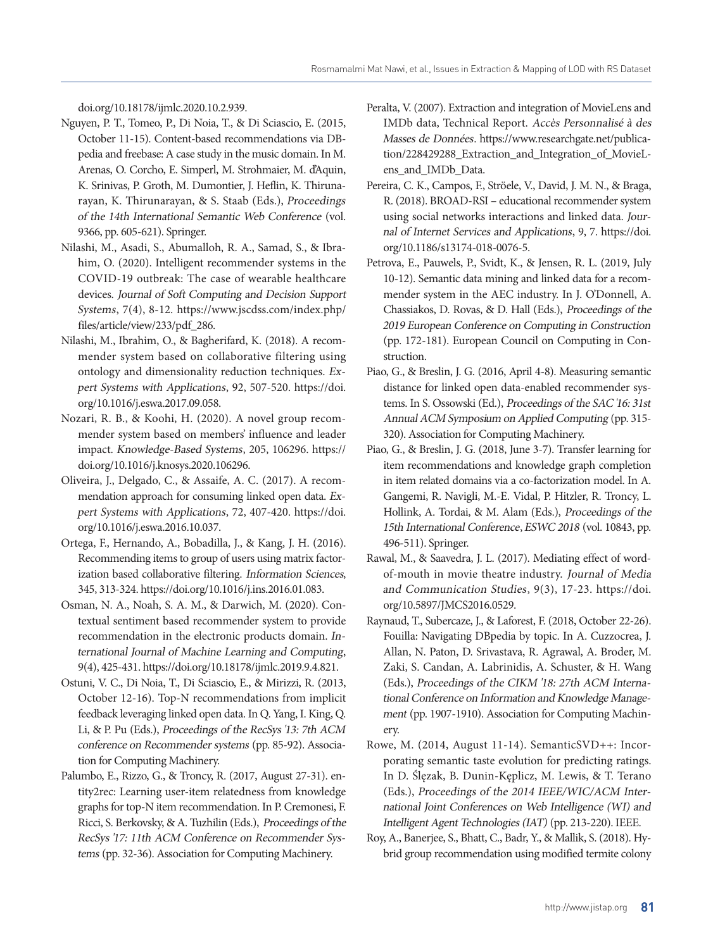[doi.org/10.18178/ijmlc.2020.10.2.939.](https://doi.org/10.35490/EC3.2019.192)

- [Nguyen, P. T., Tomeo, P., Di Noia, T., & Di Sciascio, E. \(2015,](https://doi.org/10.35490/EC3.2019.192)  [October 11-15\). Content-based recommendations vi](https://doi.org/10.35490/EC3.2019.192)a [DB](https://doi.org/10.1145/2851613.2851839)[pedia and freebase: A case study in the music domain. In M.](https://doi.org/10.1145/2851613.2851839)  [Arenas, O. Corcho, E. Simperl, M. Strohmaier, M. d'Aquin,](https://doi.org/10.1145/2851613.2851839)  K. Srinivas, P. Groth, M. [Dumontier, J. Heflin, K. Thiruna](https://doi.org/10.1145/2851613.2851839)[rayan, K. Thirunarayan, & S. Staab \(Eds.\),](https://doi.org/10.1145/2851613.2851839) Proceedings [of the 14th International Semantic Web](https://doi.org/10.1145/2851613.2851839) Conference (vol. 9366, pp. 605-621). Springer.
- Nilashi, M., Asadi, S., Abumalloh, R. A., Samad, S., & Ibrahim, O. (2020). Intelligent recommender systems in [the](https://doi.org/10.5897/JMCS2016.0529)  [COVID-19 outbreak: The case of w](https://doi.org/10.5897/JMCS2016.0529)e[arable healthcare](https://doi.org/10.1145/3269206.3269210)  devices. [Journal of Soft Computing and Decision Support](https://doi.org/10.1145/3269206.3269210)  Systems[, 7\(4\), 8-12. https://www.jscdss.com/index.php/](https://doi.org/10.1145/3269206.3269210) [files/article/view/233/pdf\\_286.](https://doi.org/10.1145/3269206.3269210)
- [Nilashi, M., Ibrahim, O., & Bagherifard, K. \(2018\). A recom](https://doi.org/10.1145/3269206.3269210)[mender system based on collaborative filtering using](https://doi.org/10.1145/3269206.3269210)  [ontology and dimensionality reduction techniques.](https://doi.org/10.1145/3269206.3269210) Ex[pert Systems with Applications](https://doi.org/10.1145/3269206.3269210), 92, 507-520. https://doi. [org/10.1016/j.eswa.2](https://doi.org/10.1145/3269206.3269210)0[17.09.058.](https://doi.org/10.1109/WI-IAT.2014.36)
- [Nozari, R. B., & Koohi, H. \(2020\). A novel group recom](https://doi.org/10.1109/WI-IAT.2014.36)[mender system based on members' influence and leader](https://doi.org/10.1109/WI-IAT.2014.36)  impact. [Knowledge-Based Systems](https://doi.org/10.1109/WI-IAT.2014.36), 205, 106296. https:// [doi.org/10.1016/j.knosys.2020.106296.](https://doi.org/10.1109/WI-IAT.2014.36)
- [Oliveira, J., Delgado, C., & Assaife, A. C. \(2017\). A recom](https://doi.org/10.1109/WI-IAT.2014.36)[mendation approach for consuming linked open data.](https://doi.org/10.1109/WI-IAT.2014.36) Ex[pert](https://doi.org/10.1109/WI-IAT.2014.36) Systems with Applications, 72, 407-420. https://doi. org/10.1016/j.eswa.2016.10.037.
- Ortega, F., Hernando, A., Bobadilla, J., & Kang, J. H. (2016). Recommending items to group of users using matrix factorization based collaborative filtering. [Information Sciences](https://doi.org/10.1142/S0219649218500193), [345,](https://doi.org/10.1142/S0219649218500193) 313-324. https://doi.org/10.1016/j.ins.2016.01.083.
- Osman, N. A., Noah, S. A. M., & Darwich, M. (2020). Contextual sentiment based recommender system to provide recommendation in the electronic products domain. [In](https://doi.org/10.18517/ijaseit.8.4-2.6807)[ternational Journal of Machine Learning and](https://doi.org/10.18517/ijaseit.8.4-2.6807) [Computing](https://doi.org/10.1145/3336191.3371811), [9\(4\), 425-431. https://doi.org/10.18178/ijmlc.2019.9.4.821.](https://doi.org/10.1145/3336191.3371811)
- [Ostuni, V. C., Di Noia, T., Di Sciascio, E., & Mirizzi, R. \(2013,](https://doi.org/10.1145/3336191.3371811) [October 12-16\). Top-N recommendations from implicit](https://doi.org/10.1145/3336191.3371811)  [feedback leveraging linked open data. In Q. Yang, I. King, Q.](https://doi.org/10.1145/3336191.3371811)  Li, & P. Pu (Eds.), [Proceedings of the RecSys '13: 7th ACM](https://doi.org/10.1145/3336191.3371811)  [conference on Recommender systems](https://doi.org/10.1145/3336191.3371811) (pp. 85-92). Associa[tion f](https://doi.org/10.1145/3336191.3371811)or Computing Machinery.
- Palumbo, E., Rizzo, G., & Troncy, R. (2017, August 27-31). entity2rec: Learning user-item relatedness from knowledge graphs for top-N item recommendation. In P. Cremonesi, F. Ricci, S. [Berkovsky, & A. Tuzhilin \(Eds.\),](https://doi.org/10.1007/s11257-019-09225-8) Proceedings of the RecSys '17: 11th ACM Conference on Recommender Systems (pp. 32-36). Association for Computing Machinery.
- Peralta, V. (2007). Extraction and integration of MovieLens and IMDb data, Technical Report. [Accès Personnalisé à des](https://doi.org/10.22266/ijies2018.0430.30)  [Masse](https://doi.org/10.22266/ijies2018.0430.30)s de Données. https://www.researchgate.net/publication/228429288\_Extraction\_and\_Integration\_of\_MovieLens and IMDb Data.
- Pereira, C. K., Cam[pos, F., Ströele, V., David, J. M.](https://doi.org/10.3390/a13030054) [N., & Braga,](https://arxiv.org/pdf/1709.09973v3.pdf) [R. \(2018\). BROAD-RSI – educational recommender system](https://arxiv.org/pdf/1709.09973v3.pdf) [using social networks interactions and linked data.](https://arxiv.org/pdf/1709.09973v3.pdf) Jour[nal of Internet Services and Applications](https://arxiv.org/pdf/1709.09973v3.pdf), 9, 7. https://doi. [org/10.1186/s13174-018-0076-5.](https://arxiv.org/pdf/1709.09973v3.pdf)
- [Petrova, E., Pauwels, P., Svidt, K., & Jensen, R. L. \(2019, July](https://arxiv.org/pdf/1709.09973v3.pdf)  [10-12\). Semantic data mining and linked data for a recom](https://arxiv.org/pdf/1709.09973v3.pdf)[mender system i](https://arxiv.org/pdf/1709.09973v3.pdf)n the AEC industry. In J. O'Donnell, A. Chassiakos, D. Rovas, & D. Hall (Eds.), Proceedings of the 2019 European Conference on Computing in Construction (pp. 172-181). European Council on Computing in Construction.
- Piao, G., & Breslin, J. [G. \(2016, April 4-8\). Measuring semantic](https://doi.org/10.1007/s11257-018-9215-8) distance for linked open data-enabled recommender systems. In S. Ossowski (Ed.), Proceedings of the SAC '16: 31st Annual ACM Symposium on Applied Computing (pp. 315- 320). Association for Comput[ing Machinery.](https://doi.org/10.1186/s13673-018-0161-6)
- [Piao, G., & Breslin, J. G.](https://doi.org/10.1186/s13673-018-0161-6) (2018, June 3-7). Transfer learning for item recommendations and knowledge graph completion in item related domains via [a co-factorization model. In A.](https://doi.org/10.1080/00051144.2020.1715590)  [Gangemi, R. Na](https://doi.org/10.1080/00051144.2020.1715590)vigli, M.-E. Vidal, P. Hitzler, R. Troncy, L. Hollink, A. Tordai, & M. Alam (Eds.), Proceedings of the 15th International Conference, ESWC 2018 (vol. 10843, pp. 496-511). Springer.
- Rawal, M., & Saavedra, J. L. (2017)[. Mediating effect of word](https://doi.org/10.1155/2020/8912065)[of-mouth i](https://doi.org/10.1155/2020/8912065)n [movie theatre industry.](https://doi.org/10.1007/978-1-4614-6880-6_2) Journal of Media and Communication Studies[, 9\(3\), 17-23. https://doi.](https://doi.org/10.1007/978-1-4614-6880-6_2) [org/10.5897/JMCS2016.0529.](https://doi.org/10.1007/978-1-4614-6880-6_2)
- [Raynaud, T., Subercaze, J., & Laforest, F. \(2018, October 22-26\).](https://doi.org/10.1007/978-1-4614-6880-6_2) [Fouilla: Navigating DBpedia by top](https://doi.org/10.1007/978-1-4614-6880-6_2)ic. In A. Cuzzocrea, J. Allan, N. Paton, D. Srivastava, R. Agrawal, A. Broder, M. Zaki, S. Candan, A. Labrinidis, A. Schuster, & H. Wang (Eds.), Proceedings of the [CIKM '18: 27th ACM Interna](https://doi.org/10.1109/ACCESS.2020.2967120)[tional Conference o](https://doi.org/10.1109/ACCESS.2020.2967120)[n Information and Knowledge Manage](https://doi.org/10.1007/978-3-319-89743-1_56)ment [\(pp. 1907-1910\). Association for Computing Machin](https://doi.org/10.1007/978-3-319-89743-1_56)[ery.](https://doi.org/10.1007/978-3-319-89743-1_56)
- [Rowe, M. \(2014, August 11-14\). SemanticSVD++: Incor](https://doi.org/10.1007/978-3-319-89743-1_56)[porating semantic taste evolution for predicting ratings.](https://doi.org/10.1007/978-3-319-89743-1_56) In D. [Ślęzak, B. Dunin-Kęplicz, M. Lewis, & T. Terano](https://doi.org/10.1007/978-3-319-89743-1_56)  (Eds.), [Proceedings of the 2014 IEEE/WIC/ACM Inter](https://doi.org/10.1007/978-3-319-89743-1_56)[natio](https://doi.org/10.1007/978-3-319-89743-1_56)nal Joint Conferences on Web Intelligence (WI) and Intelligent Agent Technologies (IAT) (pp. 213-220). IEEE.
- Roy, A., Banerjee, S., Bhatt, C., Badr, Y., & Mallik, S. (2018). Hybr[id group recommendation using modified t](http://doi.org/10.4018/ijswis.2014040101)ermite colony